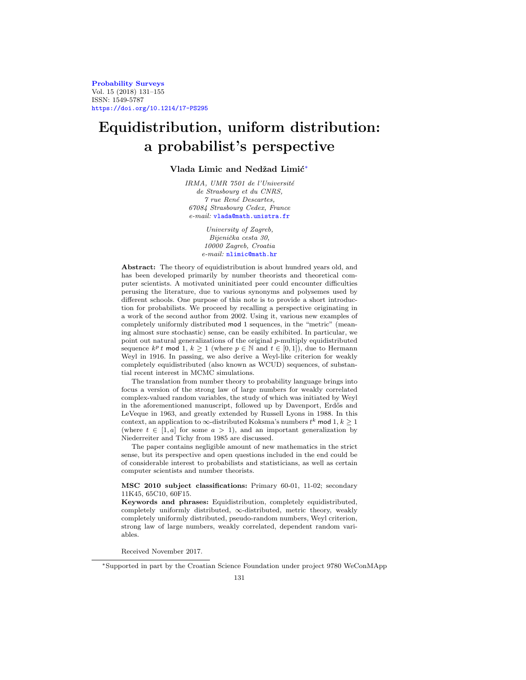**[Probability Surveys](http://www.i-journals.org/ps)** Vol. 15 (2018) 131–155 ISSN: 1549-5787 <https://doi.org/10.1214/17-PS295>

# **Equidistribution, uniform distribution: a probabilist's perspective**

# Vlada Limic and Nedžad Limić<sup>\*</sup>

IRMA, UMR 7501 de l'Université de Strasbourg et du CNRS,  $7$  rue René Descartes, 67084 Strasbourg Cedex, France e-mail: [vlada@math.unistra.fr](mailto:vlada@math.unistra.fr)

> University of Zagreb, Bijenička cesta 30, 10000 Zagreb, Croatia e-mail: [nlimic@math.hr](mailto:nlimic@math.hr)

**Abstract:** The theory of equidistribution is about hundred years old, and has been developed primarily by number theorists and theoretical computer scientists. A motivated uninitiated peer could encounter difficulties perusing the literature, due to various synonyms and polysemes used by different schools. One purpose of this note is to provide a short introduction for probabilists. We proceed by recalling a perspective originating in a work of the second author from 2002. Using it, various new examples of completely uniformly distributed mod 1 sequences, in the "metric" (meaning almost sure stochastic) sense, can be easily exhibited. In particular, we point out natural generalizations of the original p-multiply equidistributed sequence  $k^p t$  mod 1,  $k \ge 1$  (where  $p \in \mathbb{N}$  and  $t \in [0,1]$ ), due to Hermann Weyl in 1916. In passing, we also derive a Weyl-like criterion for weakly completely equidistributed (also known as WCUD) sequences, of substantial recent interest in MCMC simulations.

The translation from number theory to probability language brings into focus a version of the strong law of large numbers for weakly correlated complex-valued random variables, the study of which was initiated by Weyl in the aforementioned manuscript, followed up by Davenport, Erdős and LeVeque in 1963, and greatly extended by Russell Lyons in 1988. In this context, an application to  $\infty$ -distributed Koksma's numbers  $t^k$  mod 1,  $k \geq 1$ (where  $t \in [1, a]$  for some  $a > 1$ ), and an important generalization by Niederreiter and Tichy from 1985 are discussed.

The paper contains negligible amount of new mathematics in the strict sense, but its perspective and open questions included in the end could be of considerable interest to probabilists and statisticians, as well as certain computer scientists and number theorists.

## **MSC 2010 subject classifications:** Primary 60-01, 11-02; secondary 11K45, 65C10, 60F15.

**Keywords and phrases:** Equidistribution, completely equidistributed, completely uniformly distributed, ∞-distributed, metric theory, weakly completely uniformly distributed, pseudo-random numbers, Weyl criterion, strong law of large numbers, weakly correlated, dependent random variables.

Received November 2017.

<span id="page-0-0"></span><sup>∗</sup>Supported in part by the Croatian Science Foundation under project 9780 WeConMApp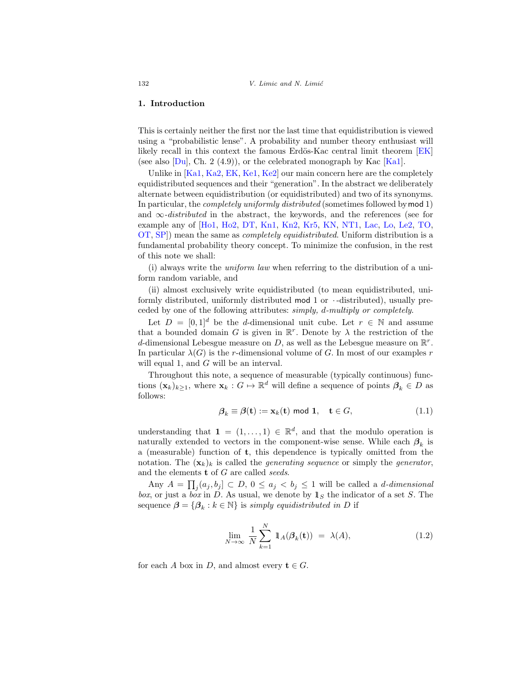### **1. Introduction**

This is certainly neither the first nor the last time that equidistribution is viewed using a "probabilistic lense". A probability and number theory enthusiast will likely recall in this context the famous Erdös-Kac central limit theorem  $[EK]$ (see also  $[Du]$ , Ch. 2 (4.9)), or the celebrated monograph by Kac [\[Ka1\]](#page-22-2).

Unlike in [\[Ka1](#page-22-2), [Ka2](#page-22-3), [EK](#page-22-0), [Ke1,](#page-22-4) [Ke2](#page-22-5)] our main concern here are the completely equidistributed sequences and their "generation". In the abstract we deliberately alternate between equidistribution (or equidistributed) and two of its synonyms. In particular, the completely uniformly distributed (sometimes followed bymod 1) and  $\infty$ -*distributed* in the abstract, the keywords, and the references (see for example any of [\[Ho1,](#page-22-6) [Ho2,](#page-22-7) [DT,](#page-22-8) [Kn1,](#page-23-0) [Kn2,](#page-23-1) [Kr5,](#page-23-2) [KN,](#page-23-3) [NT1,](#page-24-0) [Lac](#page-23-4), [Lo,](#page-24-1) [Le2](#page-23-5), [TO,](#page-24-2) [OT,](#page-24-3) [SP](#page-24-4)]) mean the same as completely equidistributed. Uniform distribution is a fundamental probability theory concept. To minimize the confusion, in the rest of this note we shall:

(i) always write the *uniform law* when referring to the distribution of a uniform random variable, and

(ii) almost exclusively write equidistributed (to mean equidistributed, uniformly distributed, uniformly distributed mod  $1$  or  $\cdot$ -distributed), usually preceded by one of the following attributes: simply, d-multiply or completely.

Let  $D = [0, 1]^d$  be the d-dimensional unit cube. Let  $r \in \mathbb{N}$  and assume that a bounded domain G is given in  $\mathbb{R}^r$ . Denote by  $\lambda$  the restriction of the d-dimensional Lebesgue measure on D, as well as the Lebesgue measure on  $\mathbb{R}^r$ . In particular  $\lambda(G)$  is the r-dimensional volume of G. In most of our examples r will equal 1, and G will be an interval.

Throughout this note, a sequence of measurable (typically continuous) functions  $(\mathbf{x}_k)_{k\geq 1}$ , where  $\mathbf{x}_k : G \mapsto \mathbb{R}^d$  will define a sequence of points  $\beta_k \in D$  as follows:

<span id="page-1-0"></span>
$$
\beta_k \equiv \beta(\mathbf{t}) := \mathbf{x}_k(\mathbf{t}) \text{ mod } \mathbf{1}, \quad \mathbf{t} \in G,
$$
\n(1.1)

understanding that  $\mathbf{1} = (1, \ldots, 1) \in \mathbb{R}^d$ , and that the modulo operation is naturally extended to vectors in the component-wise sense. While each  $\beta_k$  is a (measurable) function of **t**, this dependence is typically omitted from the notation. The  $(\mathbf{x}_k)_k$  is called the *generating sequence* or simply the *generator*, and the elements **t** of G are called seeds.

Any  $A = \prod_j (a_j, b_j] \subset D, 0 \le a_j < b_j \le 1$  will be called a *d*-dimensional box, or just a box in D. As usual, we denote by  $\mathbb{1}_S$  the indicator of a set S. The sequence  $\beta = {\beta_k : k \in \mathbb{N}}$  is *simply equidistributed in* D if

<span id="page-1-1"></span>
$$
\lim_{N \to \infty} \frac{1}{N} \sum_{k=1}^{N} \mathbb{1}_{A}(\beta_k(\mathbf{t})) = \lambda(A), \tag{1.2}
$$

for each A box in D, and almost every  $t \in G$ .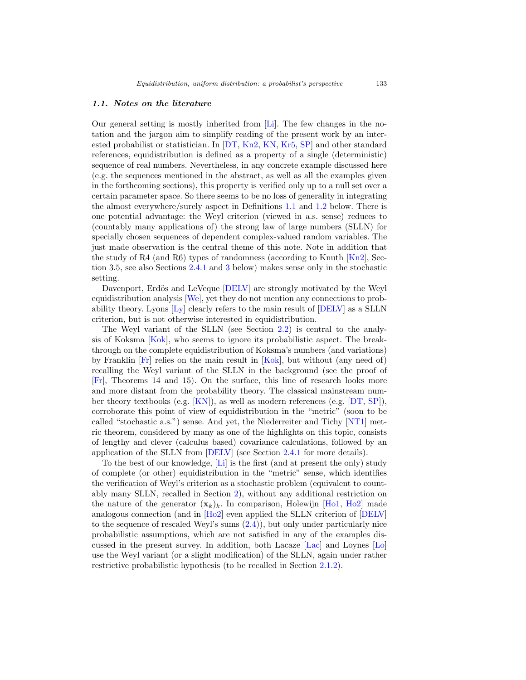#### <span id="page-2-0"></span>*1.1. Notes on the literature*

Our general setting is mostly inherited from [\[Li](#page-23-6)]. The few changes in the notation and the jargon aim to simplify reading of the present work by an interested probabilist or statistician. In [\[DT,](#page-22-8) [Kn2,](#page-23-1) [KN](#page-23-3), [Kr5,](#page-23-2) [SP\]](#page-24-4) and other standard references, equidistribution is defined as a property of a single (deterministic) sequence of real numbers. Nevertheless, in any concrete example discussed here (e.g. the sequences mentioned in the abstract, as well as all the examples given in the forthcoming sections), this property is verified only up to a null set over a certain parameter space. So there seems to be no loss of generality in integrating the almost everywhere/surely aspect in Definitions [1.1](#page-5-0) and [1.2](#page-5-1) below. There is one potential advantage: the Weyl criterion (viewed in a.s. sense) reduces to (countably many applications of) the strong law of large numbers (SLLN) for specially chosen sequences of dependent complex-valued random variables. The just made observation is the central theme of this note. Note in addition that the study of R4 (and R6) types of randomness (according to Knuth  $[Kn2]$  $[Kn2]$ , Section 3.5, see also Sections [2.4.1](#page-17-0) and [3](#page-18-0) below) makes sense only in the stochastic setting.

Davenport, Erdös and LeVeque [\[DELV](#page-22-9)] are strongly motivated by the Weyl equidistribution analysis [\[We\]](#page-24-5), yet they do not mention any connections to probability theory. Lyons [\[Ly\]](#page-24-6) clearly refers to the main result of [\[DELV](#page-22-9)] as a SLLN criterion, but is not otherwise interested in equidistribution.

The Weyl variant of the SLLN (see Section [2.2\)](#page-13-0) is central to the analysis of Koksma [\[Kok](#page-23-7)], who seems to ignore its probabilistic aspect. The breakthrough on the complete equidistribution of Koksma's numbers (and variations) by Franklin [\[Fr\]](#page-22-10) relies on the main result in [\[Kok](#page-23-7)], but without (any need of) recalling the Weyl variant of the SLLN in the background (see the proof of [\[Fr](#page-22-10)], Theorems 14 and 15). On the surface, this line of research looks more and more distant from the probability theory. The classical mainstream number theory textbooks (e.g. [\[KN](#page-23-3)]), as well as modern references (e.g. [\[DT,](#page-22-8) [SP](#page-24-4)]), corroborate this point of view of equidistribution in the "metric" (soon to be called "stochastic a.s.") sense. And yet, the Niederreiter and Tichy [\[NT1\]](#page-24-0) metric theorem, considered by many as one of the highlights on this topic, consists of lengthy and clever (calculus based) covariance calculations, followed by an application of the SLLN from [\[DELV\]](#page-22-9) (see Section [2.4.1](#page-17-0) for more details).

To the best of our knowledge, [\[Li](#page-23-6)] is the first (and at present the only) study of complete (or other) equidistribution in the "metric" sense, which identifies the verification of Weyl's criterion as a stochastic problem (equivalent to countably many SLLN, recalled in Section [2\)](#page-7-0), without any additional restriction on the nature of the generator  $(\mathbf{x}_k)_k$ . In comparison, Holewijn [\[Ho1,](#page-22-6) [Ho2](#page-22-7)] made analogous connection (and in [\[Ho2\]](#page-22-7) even applied the SLLN criterion of [\[DELV\]](#page-22-9) to the sequence of rescaled Weyl's sums  $(2.4)$ , but only under particularly nice probabilistic assumptions, which are not satisfied in any of the examples discussed in the present survey. In addition, both Lacaze [\[Lac](#page-23-4)] and Loynes [\[Lo\]](#page-24-1) use the Weyl variant (or a slight modification) of the SLLN, again under rather restrictive probabilistic hypothesis (to be recalled in Section [2.1.2\)](#page-11-0).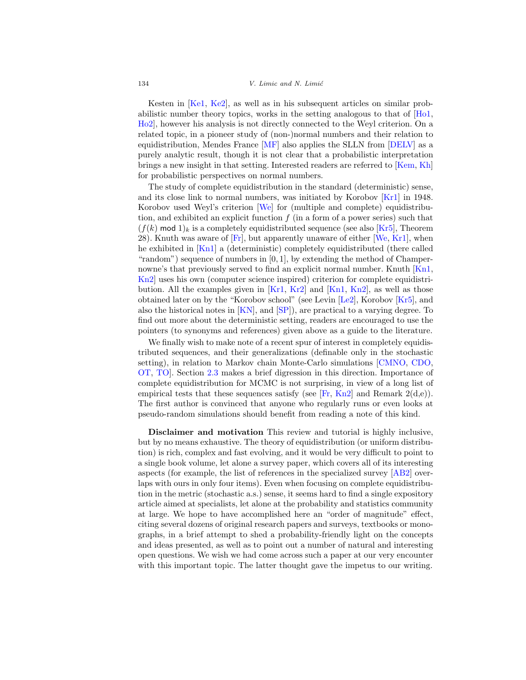Kesten in [\[Ke1,](#page-22-4) [Ke2](#page-22-5)], as well as in his subsequent articles on similar probabilistic number theory topics, works in the setting analogous to that of [\[Ho1,](#page-22-6) [Ho2](#page-22-7)], however his analysis is not directly connected to the Weyl criterion. On a related topic, in a pioneer study of (non-)normal numbers and their relation to equidistribution, Mendes France [\[MF\]](#page-24-7) also applies the SLLN from [\[DELV](#page-22-9)] as a purely analytic result, though it is not clear that a probabilistic interpretation brings a new insight in that setting. Interested readers are referred to [\[Kem,](#page-22-11) [Kh\]](#page-23-8) for probabilistic perspectives on normal numbers.

The study of complete equidistribution in the standard (deterministic) sense, and its close link to normal numbers, was initiated by Korobov [\[Kr1](#page-23-9)] in 1948. Korobov used Weyl's criterion [\[We\]](#page-24-5) for (multiple and complete) equidistribution, and exhibited an explicit function  $f$  (in a form of a power series) such that  $(f(k) \text{ mod } 1)_k$  is a completely equidistributed sequence (see also [\[Kr5](#page-23-2)], Theorem 28). Knuth was aware of  $[Fr]$ , but apparently unaware of either  $[We, Kr1]$  $[We, Kr1]$  $[We, Kr1]$  $[We, Kr1]$ , when he exhibited in [\[Kn1\]](#page-23-0) a (deterministic) completely equidistributed (there called "random") sequence of numbers in [0, 1], by extending the method of Champer-nowne's that previously served to find an explicit normal number. Knuth [\[Kn1,](#page-23-0) [Kn2\]](#page-23-1) uses his own (computer science inspired) criterion for complete equidistribution. All the examples given in  $[Kr1, Kr2]$  $[Kr1, Kr2]$  $[Kr1, Kr2]$  $[Kr1, Kr2]$  and  $[Kn1, Kn2]$  $[Kn1, Kn2]$  $[Kn1, Kn2]$  $[Kn1, Kn2]$ , as well as those obtained later on by the "Korobov school" (see Levin [\[Le2\]](#page-23-5), Korobov [\[Kr5\]](#page-23-2), and also the historical notes in [\[KN](#page-23-3)], and [\[SP\]](#page-24-4)), are practical to a varying degree. To find out more about the deterministic setting, readers are encouraged to use the pointers (to synonyms and references) given above as a guide to the literature.

We finally wish to make note of a recent spur of interest in completely equidistributed sequences, and their generalizations (definable only in the stochastic setting), in relation to Markov chain Monte-Carlo simulations [\[CMNO](#page-22-12), [CDO,](#page-22-13) [OT,](#page-24-3) [TO\]](#page-24-2). Section [2.3](#page-14-0) makes a brief digression in this direction. Importance of complete equidistribution for MCMC is not surprising, in view of a long list of empirical tests that these sequences satisfy (see [\[Fr](#page-22-10), [Kn2\]](#page-23-1) and Remark  $2(d,e)$ ). The first author is convinced that anyone who regularly runs or even looks at pseudo-random simulations should benefit from reading a note of this kind.

**Disclaimer and motivation** This review and tutorial is highly inclusive, but by no means exhaustive. The theory of equidistribution (or uniform distribution) is rich, complex and fast evolving, and it would be very difficult to point to a single book volume, let alone a survey paper, which covers all of its interesting aspects (for example, the list of references in the specialized survey [\[AB2](#page-21-0)] overlaps with ours in only four items). Even when focusing on complete equidistribution in the metric (stochastic a.s.) sense, it seems hard to find a single expository article aimed at specialists, let alone at the probability and statistics community at large. We hope to have accomplished here an "order of magnitude" effect, citing several dozens of original research papers and surveys, textbooks or monographs, in a brief attempt to shed a probability-friendly light on the concepts and ideas presented, as well as to point out a number of natural and interesting open questions. We wish we had come across such a paper at our very encounter with this important topic. The latter thought gave the impetus to our writing.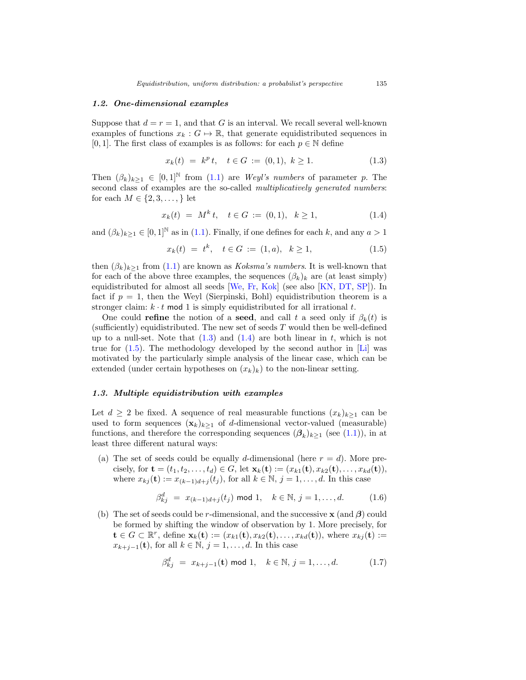## *1.2. One-dimensional examples*

Suppose that  $d = r = 1$ , and that G is an interval. We recall several well-known examples of functions  $x_k : G \mapsto \mathbb{R}$ , that generate equidistributed sequences in [0, 1]. The first class of examples is as follows: for each  $p \in \mathbb{N}$  define

<span id="page-4-0"></span>
$$
x_k(t) = k^p t, \quad t \in G := (0, 1), \ k \ge 1. \tag{1.3}
$$

Then  $(\beta_k)_{k>1} \in [0,1]^{\mathbb{N}}$  from  $(1.1)$  are *Weyl's numbers* of parameter p. The second class of examples are the so-called *multiplicatively generated numbers*: for each  $M \in \{2, 3, \ldots, \}$  let

<span id="page-4-1"></span>
$$
x_k(t) = M^k t, \quad t \in G := (0,1), \quad k \ge 1,
$$
\n
$$
(1.4)
$$

and  $(\beta_k)_{k>1} \in [0,1]^{\mathbb{N}}$  as in [\(1.1\)](#page-1-0). Finally, if one defines for each k, and any  $a > 1$ 

<span id="page-4-2"></span>
$$
x_k(t) = t^k, \quad t \in G := (1, a), \quad k \ge 1,
$$
\n
$$
(1.5)
$$

then  $(\beta_k)_{k>1}$  from  $(1.1)$  are known as *Koksma's numbers*. It is well-known that for each of the above three examples, the sequences  $(\beta_k)_k$  are (at least simply) equidistributed for almost all seeds [\[We,](#page-24-5) [Fr,](#page-22-10) [Kok](#page-23-7)] (see also [\[KN,](#page-23-3) [DT](#page-22-8), [SP](#page-24-4)]). In fact if  $p = 1$ , then the Weyl (Sierpinski, Bohl) equidistribution theorem is a stronger claim:  $k \cdot t$  mod 1 is simply equidistributed for all irrational t.

One could **refine** the notion of a **seed**, and call t a seed only if  $\beta_k(t)$  is (sufficiently) equidistributed. The new set of seeds  $T$  would then be well-defined up to a null-set. Note that  $(1.3)$  and  $(1.4)$  are both linear in t, which is not true for  $(1.5)$ . The methodology developed by the second author in [\[Li](#page-23-6)] was motivated by the particularly simple analysis of the linear case, which can be extended (under certain hypotheses on  $(x_k)_k$ ) to the non-linear setting.

## *1.3. Multiple equidistribution with examples*

Let  $d \geq 2$  be fixed. A sequence of real measurable functions  $(x_k)_{k\geq 1}$  can be used to form sequences  $(\mathbf{x}_k)_{k>1}$  of d-dimensional vector-valued (measurable) functions, and therefore the corresponding sequences  $(\beta_k)_{k\geq 1}$  (see [\(1.1\)](#page-1-0)), in at least three different natural ways:

(a) The set of seeds could be equally d-dimensional (here  $r = d$ ). More precisely, for **t** =  $(t_1, t_2,..., t_d) \in G$ , let  $\mathbf{x}_k(\mathbf{t}) := (x_{k1}(\mathbf{t}), x_{k2}(\mathbf{t}),..., x_{kd}(\mathbf{t})),$ where  $x_{kj}(\mathbf{t}) := x_{(k-1)d+j}(t_j)$ , for all  $k \in \mathbb{N}$ ,  $j = 1, \ldots, d$ . In this case

<span id="page-4-3"></span>
$$
\beta_{kj}^d = x_{(k-1)d+j}(t_j) \text{ mod } 1, \quad k \in \mathbb{N}, j = 1, ..., d.
$$
 (1.6)

(b) The set of seeds could be r-dimensional, and the successive **x** (and *β*) could be formed by shifting the window of observation by 1. More precisely, for **t** ∈ G ⊂  $\mathbb{R}^r$ , define  $\mathbf{x}_k(t) := (x_{k1}(t), x_{k2}(t), \ldots, x_{kd}(t))$ , where  $x_{kj}(t) :=$  $x_{k+j-1}(\mathbf{t})$ , for all  $k \in \mathbb{N}$ ,  $j = 1, \ldots, d$ . In this case

<span id="page-4-4"></span>
$$
\beta_{kj}^d = x_{k+j-1}(\mathbf{t}) \text{ mod } 1, \quad k \in \mathbb{N}, j = 1, \dots, d. \tag{1.7}
$$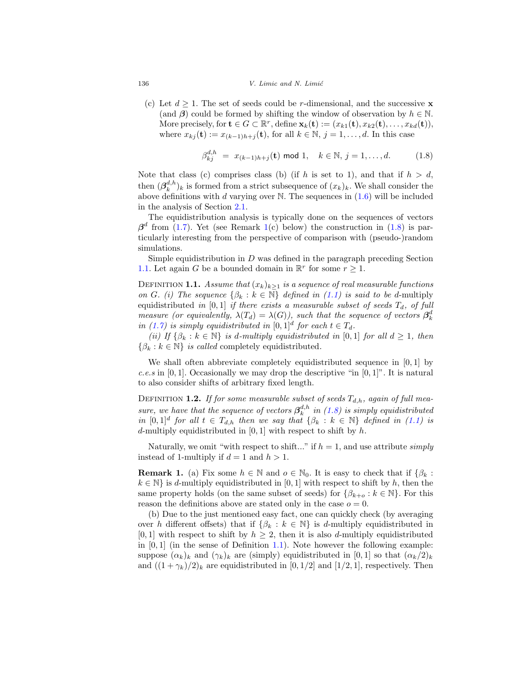(c) Let  $d \geq 1$ . The set of seeds could be r-dimensional, and the successive **x** (and  $\beta$ ) could be formed by shifting the window of observation by  $h \in \mathbb{N}$ . More precisely, for  $\mathbf{t} \in G \subset \mathbb{R}^r$ , define  $\mathbf{x}_k(\mathbf{t}) := (x_{k1}(\mathbf{t}), x_{k2}(\mathbf{t}), \ldots, x_{kd}(\mathbf{t})),$ where  $x_{kj}(\mathbf{t}) := x_{(k-1)h+j}(\mathbf{t})$ , for all  $k \in \mathbb{N}$ ,  $j = 1, \ldots, d$ . In this case

<span id="page-5-3"></span>
$$
\beta_{kj}^{d,h} = x_{(k-1)h+j}(\mathbf{t}) \text{ mod } 1, \quad k \in \mathbb{N}, j = 1, ..., d. \tag{1.8}
$$

Note that class (c) comprises class (b) (if h is set to 1), and that if  $h > d$ , then  $(\beta_k^{d,h})_k$  is formed from a strict subsequence of  $(x_k)_k$ . We shall consider the above definitions with d varying over N. The sequences in  $(1.6)$  will be included in the analysis of Section [2.1.](#page-7-1)

The equidistribution analysis is typically done on the sequences of vectors  $\beta^d$  from [\(1.7\)](#page-4-4). Yet (see Remark [1\(](#page-5-2)c) below) the construction in [\(1.8\)](#page-5-3) is particularly interesting from the perspective of comparison with (pseudo-)random simulations.

Simple equidistribution in  $D$  was defined in the paragraph preceding Section [1.1.](#page-2-0) Let again G be a bounded domain in  $\mathbb{R}^r$  for some  $r \geq 1$ .

<span id="page-5-0"></span>DEFINITION **1.1.** Assume that  $(x_k)_{k\geq 1}$  is a sequence of real measurable functions on G. (i) The sequence  $\{\beta_k : k \in \mathbb{N}\}\$  defined in [\(1.1\)](#page-1-0) is said to be d-multiply equidistributed in [0,1] if there exists a measurable subset of seeds  $T_d$ , of full measure (or equivalently,  $\lambda(T_d) = \lambda(G)$ ), such that the sequence of vectors  $\beta_k^d$ in [\(1.7\)](#page-4-4) is simply equidistributed in  $[0, 1]^d$  for each  $t \in T_d$ .

(ii) If  $\{\beta_k : k \in \mathbb{N}\}\$ is d-multiply equidistributed in [0, 1] for all  $d \geq 1$ , then  $\{\beta_k : k \in \mathbb{N}\}\$ is called completely equidistributed.

We shall often abbreviate completely equidistributed sequence in  $[0, 1]$  by c.e.s in [0, 1]. Occasionally we may drop the descriptive "in  $[0, 1]$ ". It is natural to also consider shifts of arbitrary fixed length.

<span id="page-5-1"></span>DEFINITION **1.2.** If for some measurable subset of seeds  $T_{d,h}$ , again of full measure, we have that the sequence of vectors  $\beta_k^{d,h}$  in [\(1.8\)](#page-5-3) is simply equidistributed in  $[0, 1]^d$  for all  $t \in T_{d,h}$  then we say that  $\{\beta_k : k \in \mathbb{N}\}\$  defined in [\(1.1\)](#page-1-0) is d-multiply equidistributed in  $[0, 1]$  with respect to shift by h.

Naturally, we omit "with respect to shift..." if  $h = 1$ , and use attribute *simply* instead of 1-multiply if  $d = 1$  and  $h > 1$ .

<span id="page-5-2"></span>**Remark 1.** (a) Fix some  $h \in \mathbb{N}$  and  $o \in \mathbb{N}_0$ . It is easy to check that if  $\{\beta_k :$  $k \in \mathbb{N}$  is d-multiply equidistributed in [0, 1] with respect to shift by h, then the same property holds (on the same subset of seeds) for  $\{\beta_{k+o} : k \in \mathbb{N}\}\$ . For this reason the definitions above are stated only in the case  $o = 0$ .

(b) Due to the just mentioned easy fact, one can quickly check (by averaging over h different offsets) that if  $\{\beta_k : k \in \mathbb{N}\}\$ is d-multiply equidistributed in [0, 1] with respect to shift by  $h \geq 2$ , then it is also d-multiply equidistributed in  $[0, 1]$  (in the sense of Definition [1.1\)](#page-5-0). Note however the following example: suppose  $(\alpha_k)_k$  and  $(\gamma_k)_k$  are (simply) equidistributed in [0, 1] so that  $(\alpha_k/2)_k$ and  $((1 + \gamma_k)/2)_k$  are equidistributed in [0, 1/2] and [1/2, 1], respectively. Then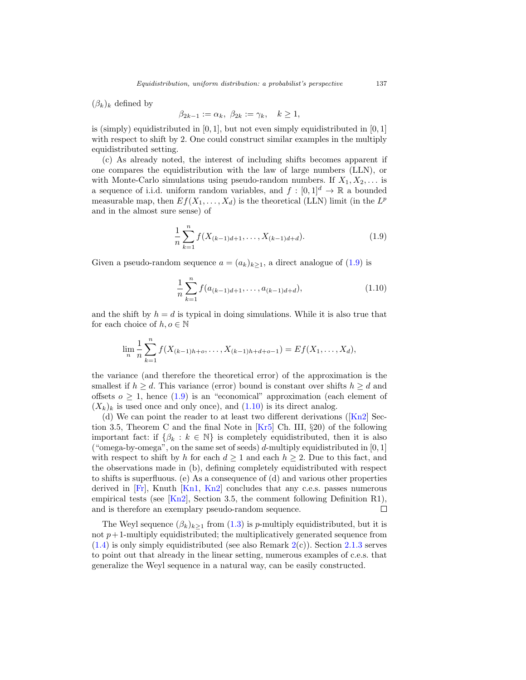$(\beta_k)_k$  defined by

$$
\beta_{2k-1} := \alpha_k, \ \beta_{2k} := \gamma_k, \quad k \ge 1,
$$

is (simply) equidistributed in  $[0, 1]$ , but not even simply equidistributed in  $[0, 1]$ with respect to shift by 2. One could construct similar examples in the multiply equidistributed setting.

(c) As already noted, the interest of including shifts becomes apparent if one compares the equidistribution with the law of large numbers (LLN), or with Monte-Carlo simulations using pseudo-random numbers. If  $X_1, X_2, \ldots$  is a sequence of i.i.d. uniform random variables, and  $f : [0, 1]^d \to \mathbb{R}$  a bounded measurable map, then  $Ef(X_1,...,X_d)$  is the theoretical (LLN) limit (in the  $L^p$ and in the almost sure sense) of

<span id="page-6-0"></span>
$$
\frac{1}{n}\sum_{k=1}^{n} f(X_{(k-1)d+1},\ldots,X_{(k-1)d+d}).
$$
\n(1.9)

Given a pseudo-random sequence  $a = (a_k)_{k \geq 1}$ , a direct analogue of  $(1.9)$  is

<span id="page-6-1"></span>
$$
\frac{1}{n}\sum_{k=1}^{n} f(a_{(k-1)d+1}, \dots, a_{(k-1)d+d}), \tag{1.10}
$$

and the shift by  $h = d$  is typical in doing simulations. While it is also true that for each choice of  $h, o \in \mathbb{N}$ 

$$
\lim_{n} \frac{1}{n} \sum_{k=1}^{n} f(X_{(k-1)h+o}, \dots, X_{(k-1)h+d+o-1}) = Ef(X_1, \dots, X_d),
$$

the variance (and therefore the theoretical error) of the approximation is the smallest if  $h \geq d$ . This variance (error) bound is constant over shifts  $h \geq d$  and offsets  $o \geq 1$ , hence  $(1.9)$  is an "economical" approximation (each element of  $(X_k)_k$  is used once and only once), and  $(1.10)$  is its direct analog.

(d) We can point the reader to at least two different derivations ( $\text{[Kn2]}$  $\text{[Kn2]}$  $\text{[Kn2]}$  Section 3.5, Theorem C and the final Note in [\[Kr5\]](#page-23-2) Ch. III, §20) of the following important fact: if  $\{\beta_k : k \in \mathbb{N}\}\$ is completely equidistributed, then it is also ("omega-by-omega", on the same set of seeds) d-multiply equidistributed in  $[0, 1]$ with respect to shift by h for each  $d \geq 1$  and each  $h \geq 2$ . Due to this fact, and the observations made in (b), defining completely equidistributed with respect to shifts is superfluous. (e) As a consequence of (d) and various other properties derived in  $[Fr]$ , Knuth  $[Kn1, Kn2]$  $[Kn1, Kn2]$  $[Kn1, Kn2]$  concludes that any c.e.s. passes numerous empirical tests (see  $\text{[Kn2]}$  $\text{[Kn2]}$  $\text{[Kn2]}$ , Section 3.5, the comment following Definition R1), and is therefore an exemplary pseudo-random sequence. П

The Weyl sequence  $(\beta_k)_{k\geq 1}$  from  $(1.3)$  is p-multiply equidistributed, but it is not  $p+1$ -multiply equidistributed; the multiplicatively generated sequence from  $(1.4)$  is only simply equidistributed (see also Remark  $2(c)$  $2(c)$ ). Section [2.1.3](#page-12-0) serves to point out that already in the linear setting, numerous examples of c.e.s. that generalize the Weyl sequence in a natural way, can be easily constructed.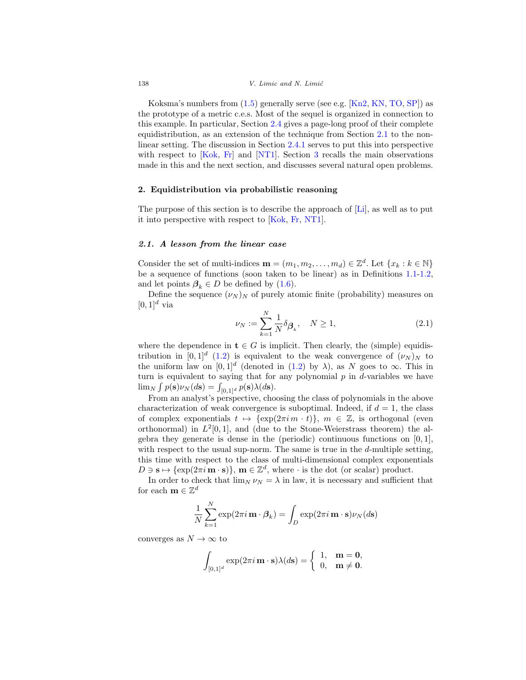Koksma's numbers from [\(1.5\)](#page-4-2) generally serve (see e.g. [\[Kn2](#page-23-1), [KN,](#page-23-3) [TO](#page-24-2), [SP](#page-24-4)]) as the prototype of a metric c.e.s. Most of the sequel is organized in connection to this example. In particular, Section [2.4](#page-15-0) gives a page-long proof of their complete equidistribution, as an extension of the technique from Section [2.1](#page-7-1) to the nonlinear setting. The discussion in Section [2.4.1](#page-17-0) serves to put this into perspective with respect to [\[Kok](#page-23-7), [Fr](#page-22-10)] and [\[NT1](#page-24-0)]. Section [3](#page-18-0) recalls the main observations made in this and the next section, and discusses several natural open problems.

## <span id="page-7-0"></span>**2. Equidistribution via probabilistic reasoning**

The purpose of this section is to describe the approach of [\[Li\]](#page-23-6), as well as to put it into perspective with respect to [\[Kok,](#page-23-7) [Fr](#page-22-10), [NT1](#page-24-0)].

## <span id="page-7-1"></span>*2.1. A lesson from the linear case*

Consider the set of multi-indices  $\mathbf{m} = (m_1, m_2, \dots, m_d) \in \mathbb{Z}^d$ . Let  $\{x_k : k \in \mathbb{N}\}\$ be a sequence of functions (soon taken to be linear) as in Definitions [1.1-](#page-5-0)[1.2,](#page-5-1) and let points  $\beta_k \in D$  be defined by [\(1.6\)](#page-4-3).

Define the sequence  $(\nu_N)_N$  of purely atomic finite (probability) measures on  $[0, 1]^d$  via

<span id="page-7-2"></span>
$$
\nu_N := \sum_{k=1}^N \frac{1}{N} \delta_{\beta_k}, \quad N \ge 1,
$$
\n(2.1)

where the dependence in  $t \in G$  is implicit. Then clearly, the (simple) equidis-tribution in [0, 1]<sup>d</sup> [\(1.2\)](#page-1-1) is equivalent to the weak convergence of  $(\nu_N)_N$  to the uniform law on  $[0, 1]^d$  (denoted in  $(1.2)$  by  $\lambda$ ), as N goes to  $\infty$ . This in turn is equivalent to saying that for any polynomial  $p$  in  $d$ -variables we have  $\lim_{N} \int p(\mathbf{s}) \nu_N(d\mathbf{s}) = \int_{[0,1]^d} p(\mathbf{s}) \lambda(d\mathbf{s}).$ 

From an analyst's perspective, choosing the class of polynomials in the above characterization of weak convergence is suboptimal. Indeed, if  $d = 1$ , the class of complex exponentials  $t \mapsto {\exp(2\pi i m \cdot t)}, m \in \mathbb{Z}$ , is orthogonal (even orthonormal) in  $L^2[0,1]$ , and (due to the Stone-Weierstrass theorem) the algebra they generate is dense in the (periodic) continuous functions on  $[0, 1]$ , with respect to the usual sup-norm. The same is true in the  $d$ -multiple setting, this time with respect to the class of multi-dimensional complex exponentials  $D \ni \mathbf{s} \mapsto {\exp(2\pi i \mathbf{m} \cdot \mathbf{s})}, \mathbf{m} \in \mathbb{Z}^d$ , where  $\cdot$  is the dot (or scalar) product.

In order to check that  $\lim_{N} \nu_N = \lambda$  in law, it is necessary and sufficient that for each **m**  $\in \mathbb{Z}^d$ 

$$
\frac{1}{N} \sum_{k=1}^{N} \exp(2\pi i \mathbf{m} \cdot \boldsymbol{\beta}_{k}) = \int_{D} \exp(2\pi i \mathbf{m} \cdot \mathbf{s}) \nu_{N}(d\mathbf{s})
$$

converges as  $N \to \infty$  to

$$
\int_{[0,1]^d} \exp(2\pi i \mathbf{m} \cdot \mathbf{s}) \lambda(d\mathbf{s}) = \begin{cases} 1, & \mathbf{m} = \mathbf{0}, \\ 0, & \mathbf{m} \neq \mathbf{0}. \end{cases}
$$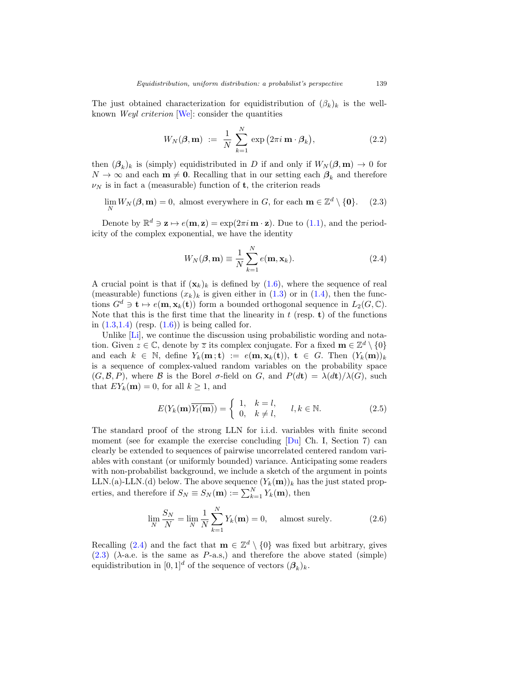The just obtained characterization for equidistribution of  $(\beta_k)_k$  is the wellknown Weyl criterion [\[We\]](#page-24-5): consider the quantities

<span id="page-8-4"></span>
$$
W_N(\boldsymbol{\beta}, \mathbf{m}) := \frac{1}{N} \sum_{k=1}^N \exp(2\pi i \mathbf{m} \cdot \boldsymbol{\beta}_k), \qquad (2.2)
$$

then  $(\beta_k)_k$  is (simply) equidistributed in D if and only if  $W_N(\beta, m) \to 0$  for  $N \to \infty$  and each **m**  $\neq$  **0**. Recalling that in our setting each  $\beta_k$  and therefore  $\nu_N$  is in fact a (measurable) function of **t**, the criterion reads

<span id="page-8-1"></span> $\lim_{N} W_N(\boldsymbol{\beta}, \mathbf{m}) = 0$ , almost everywhere in G, for each  $\mathbf{m} \in \mathbb{Z}^d \setminus \{\mathbf{0}\}.$  (2.3)

Denote by  $\mathbb{R}^d \ni \mathbf{z} \mapsto e(\mathbf{m}, \mathbf{z}) = \exp(2\pi i \mathbf{m} \cdot \mathbf{z})$ . Due to [\(1.1\)](#page-1-0), and the periodicity of the complex exponential, we have the identity

<span id="page-8-0"></span>
$$
W_N(\boldsymbol{\beta}, \mathbf{m}) \equiv \frac{1}{N} \sum_{k=1}^N e(\mathbf{m}, \mathbf{x}_k).
$$
 (2.4)

A crucial point is that if  $(\mathbf{x}_k)_k$  is defined by  $(1.6)$ , where the sequence of real (measurable) functions  $(x_k)_k$  is given either in [\(1.3\)](#page-4-0) or in [\(1.4\)](#page-4-1), then the functions  $G^d \ni \mathbf{t} \mapsto e(\mathbf{m}, \mathbf{x}_k(\mathbf{t}))$  form a bounded orthogonal sequence in  $L_2(G, \mathbb{C})$ . Note that this is the first time that the linearity in  $t$  (resp. **t**) of the functions in  $(1.3,1.4)$  $(1.3,1.4)$  (resp.  $(1.6)$ ) is being called for.

Unlike [\[Li\]](#page-23-6), we continue the discussion using probabilistic wording and notation. Given  $z \in \mathbb{C}$ , denote by  $\overline{z}$  its complex conjugate. For a fixed  $\mathbf{m} \in \mathbb{Z}^d \setminus \{0\}$ and each  $k \in \mathbb{N}$ , define  $Y_k(\mathbf{m}; \mathbf{t}) := e(\mathbf{m}, \mathbf{x}_k(\mathbf{t})), \mathbf{t} \in G$ . Then  $(Y_k(\mathbf{m}))_k$ is a sequence of complex-valued random variables on the probability space  $(G, \mathcal{B}, P)$ , where  $\mathcal{B}$  is the Borel  $\sigma$ -field on G, and  $P(dt) = \lambda(dt)/\lambda(G)$ , such that  $EY_k(\mathbf{m}) = 0$ , for all  $k \geq 1$ , and

<span id="page-8-3"></span>
$$
E(Y_k(\mathbf{m})\overline{Y_l(\mathbf{m})}) = \begin{cases} 1, & k = l, \\ 0, & k \neq l, \end{cases} \quad l, k \in \mathbb{N}.
$$
 (2.5)

The standard proof of the strong LLN for i.i.d. variables with finite second moment (see for example the exercise concluding [\[Du\]](#page-22-1) Ch. I, Section 7) can clearly be extended to sequences of pairwise uncorrelated centered random variables with constant (or uniformly bounded) variance. Anticipating some readers with non-probabilist background, we include a sketch of the argument in points LLN.(a)-LLN.(d) below. The above sequence  $(Y_k(m))_k$  has the just stated properties, and therefore if  $S_N \equiv S_N(\mathbf{m}) := \sum_{k=1}^N Y_k(\mathbf{m})$ , then

<span id="page-8-2"></span>
$$
\lim_{N} \frac{S_N}{N} = \lim_{N} \frac{1}{N} \sum_{k=1}^{N} Y_k(\mathbf{m}) = 0, \quad \text{almost surely.}
$$
 (2.6)

Recalling [\(2.4\)](#page-8-0) and the fact that **m**  $\in \mathbb{Z}^d \setminus \{0\}$  was fixed but arbitrary, gives  $(2.3)$  ( $\lambda$ -a.e. is the same as P-a.s.) and therefore the above stated (simple) equidistribution in  $[0, 1]^d$  of the sequence of vectors  $(\beta_k)_k$ .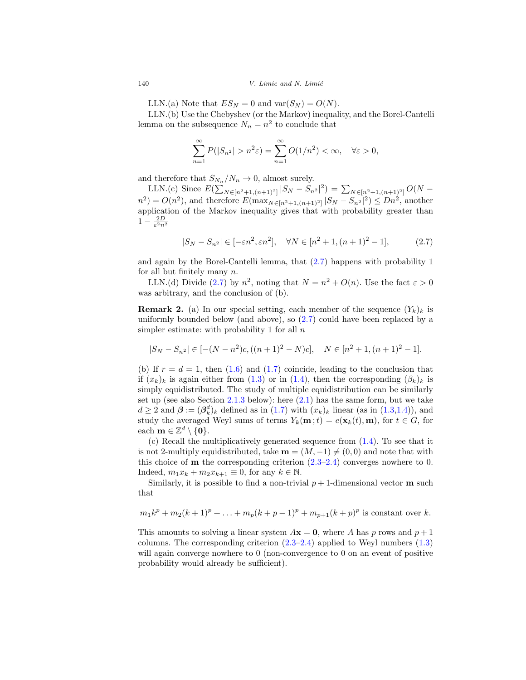LLN.(a) Note that  $ES_N = 0$  and  $var(S_N) = O(N)$ .

LLN.(b) Use the Chebyshev (or the Markov) inequality, and the Borel-Cantelli lemma on the subsequence  $N_n = n^2$  to conclude that

$$
\sum_{n=1}^{\infty} P(|S_{n^2}| > n^2 \varepsilon) = \sum_{n=1}^{\infty} O(1/n^2) < \infty, \quad \forall \varepsilon > 0,
$$

and therefore that  $S_{N_n}/N_n \to 0$ , almost surely.

LLN.(c) Since  $E(\sum_{N \in [n^2+1,(n+1)^2]} |S_N - S_{n^2}|^2) = \sum_{N \in [n^2+1,(n+1)^2]} O(N$  $n^2 = O(n^2)$ , and therefore  $E(\max_{N \in [n^2+1,(n+1)^2]} |S_N - S_{n^2}|^2) \leq Dn^2$ , another application of the Markov inequality gives that with probability greater than  $1-\frac{2D}{\varepsilon^2n^2}$ 

<span id="page-9-1"></span>
$$
|S_N - S_{n^2}| \in [-\varepsilon n^2, \varepsilon n^2], \quad \forall N \in [n^2 + 1, (n+1)^2 - 1], \tag{2.7}
$$

and again by the Borel-Cantelli lemma, that [\(2.7\)](#page-9-1) happens with probability 1 for all but finitely many n.

LLN.(d) Divide [\(2.7\)](#page-9-1) by  $n^2$ , noting that  $N = n^2 + O(n)$ . Use the fact  $\varepsilon > 0$ was arbitrary, and the conclusion of (b).

<span id="page-9-0"></span>**Remark 2.** (a) In our special setting, each member of the sequence  $(Y_k)_k$  is uniformly bounded below (and above), so  $(2.7)$  could have been replaced by a simpler estimate: with probability 1 for all  $n$ 

$$
|S_N - S_{n^2}| \in [-(N - n^2)c, ((n+1)^2 - N)c], \quad N \in [n^2 + 1, (n+1)^2 - 1].
$$

(b) If  $r = d = 1$ , then [\(1.6\)](#page-4-3) and [\(1.7\)](#page-4-4) coincide, leading to the conclusion that if  $(x_k)_k$  is again either from [\(1.3\)](#page-4-0) or in [\(1.4\)](#page-4-1), then the corresponding  $(\beta_k)_k$  is simply equidistributed. The study of multiple equidistribution can be similarly set up (see also Section [2.1.3](#page-12-0) below): here  $(2.1)$  has the same form, but we take  $d \geq 2$  and  $\boldsymbol{\beta} := (\boldsymbol{\beta}_{k}^{d})_{k}$  defined as in  $(1.7)$  with  $(x_{k})_{k}$  linear (as in  $(1.3,1.4)$  $(1.3,1.4)$ ), and study the averaged Weyl sums of terms  $Y_k(\mathbf{m};t) = e(\mathbf{x}_k(t), \mathbf{m})$ , for  $t \in G$ , for each **m**  $\in \mathbb{Z}^d \setminus \{0\}.$ 

(c) Recall the multiplicatively generated sequence from [\(1.4\)](#page-4-1). To see that it is not 2-multiply equidistributed, take  $\mathbf{m} = (M, -1) \neq (0, 0)$  and note that with this choice of **m** the corresponding criterion [\(2.3](#page-8-1)[–2.4\)](#page-8-0) converges nowhere to 0. Indeed,  $m_1x_k + m_2x_{k+1} \equiv 0$ , for any  $k \in \mathbb{N}$ .

Similarly, it is possible to find a non-trivial  $p + 1$ -dimensional vector **m** such that

$$
m_1k^p + m_2(k+1)^p + \ldots + m_p(k+p-1)^p + m_{p+1}(k+p)^p
$$
 is constant over k.

This amounts to solving a linear system  $A\mathbf{x} = \mathbf{0}$ , where A has p rows and  $p + 1$ columns. The corresponding criterion  $(2.3-2.4)$  $(2.3-2.4)$  applied to Weyl numbers  $(1.3)$ will again converge nowhere to 0 (non-convergence to 0 on an event of positive probability would already be sufficient).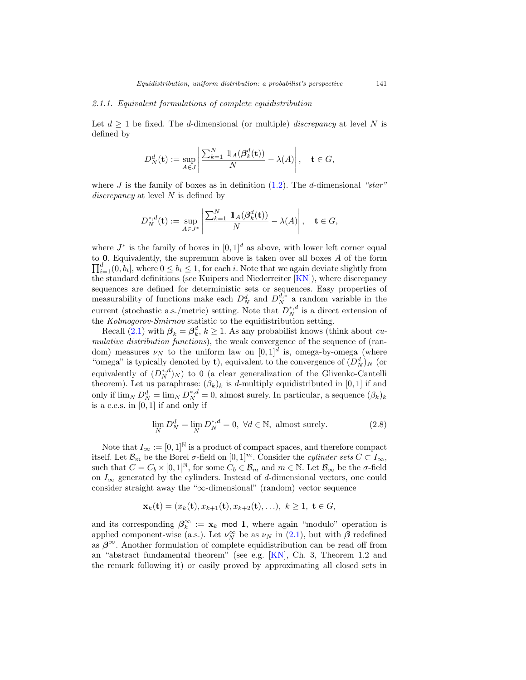# <span id="page-10-0"></span>2.1.1. Equivalent formulations of complete equidistribution

Let  $d \geq 1$  be fixed. The *d*-dimensional (or multiple) *discrepancy* at level N is defined by

$$
D_N^d(\mathbf{t}) := \sup_{A \in J} \left| \frac{\sum_{k=1}^N \mathbb{1}_A(\beta_k^d(\mathbf{t}))}{N} - \lambda(A) \right|, \quad \mathbf{t} \in G,
$$

where J is the family of boxes as in definition  $(1.2)$ . The d-dimensional "star" discrepancy at level  $N$  is defined by

$$
D_N^{*,d}(\mathbf{t}) := \sup_{A \in J^*} \left| \frac{\sum_{k=1}^N \mathbb{1}_A(\beta_k^d(\mathbf{t}))}{N} - \lambda(A) \right|, \quad \mathbf{t} \in G,
$$

where  $J^*$  is the family of boxes in  $[0, 1]^d$  as above, with lower left corner equal to **0**. Equivalently, the supremum above is taken over all boxes A of the form  $\prod_{i=1}^{d} (0, b_i]$ , where  $0 \leq b_i \leq 1$ , for each i. Note that we again deviate slightly from the standard definitions (see Kuipers and Niederreiter [\[KN\]](#page-23-3)), where discrepancy sequences are defined for deterministic sets or sequences. Easy properties of measurability of functions make each  $D_N^d$  and  $D_N^{d,*}$  a random variable in the current (stochastic a.s./metric) setting. Note that  $D_N^{*,d}$  is a direct extension of the Kolmogorov-Smirnov statistic to the equidistribution setting.

Recall [\(2.1\)](#page-7-2) with  $\beta_k = \beta_k^d$ ,  $k \ge 1$ . As any probabilist knows (think about *cu*mulative distribution functions), the weak convergence of the sequence of (random) measures  $\nu_N$  to the uniform law on  $[0, 1]^d$  is, omega-by-omega (where "omega" is typically denoted by **t**), equivalent to the convergence of  $(D_N^d)_N$  (or equivalently of  $(D_N^{*,d})_N$ ) to 0 (a clear generalization of the Glivenko-Cantelli theorem). Let us paraphrase:  $(\beta_k)_k$  is d-multiply equidistributed in [0, 1] if and only if  $\lim_N D_N^d = \lim_N D_N^{*,d} = 0$ , almost surely. In particular, a sequence  $(\beta_k)_k$ is a c.e.s. in [0, 1] if and only if

$$
\lim_{N} D_N^d = \lim_{N} D_N^{*,d} = 0, \ \forall d \in \mathbb{N}, \text{ almost surely.}
$$
 (2.8)

Note that  $I_{\infty} := [0, 1]^{\mathbb{N}}$  is a product of compact spaces, and therefore compact itself. Let  $\mathcal{B}_m$  be the Borel  $\sigma$ -field on  $[0, 1]^m$ . Consider the *cylinder sets*  $C \subset I_\infty$ , such that  $C = C_b \times [0, 1]^{\mathbb{N}}$ , for some  $C_b \in \mathcal{B}_m$  and  $m \in \mathbb{N}$ . Let  $\mathcal{B}_{\infty}$  be the  $\sigma$ -field on  $I_{\infty}$  generated by the cylinders. Instead of d-dimensional vectors, one could consider straight away the "∞-dimensional" (random) vector sequence

$$
\mathbf{x}_{k}(\mathbf{t}) = (x_{k}(\mathbf{t}), x_{k+1}(\mathbf{t}), x_{k+2}(\mathbf{t}), \ldots), \ k \ge 1, \ \mathbf{t} \in G,
$$

and its corresponding  $\beta_k^{\infty} := \mathbf{x}_k \mod 1$ , where again "modulo" operation is applied component-wise (a.s.). Let  $\nu_N^{\infty}$  be as  $\nu_N$  in [\(2.1\)](#page-7-2), but with  $\beta$  redefined as  $\beta^{\infty}$ . Another formulation of complete equidistribution can be read off from an "abstract fundamental theorem" (see e.g. [\[KN\]](#page-23-3), Ch. 3, Theorem 1.2 and the remark following it) or easily proved by approximating all closed sets in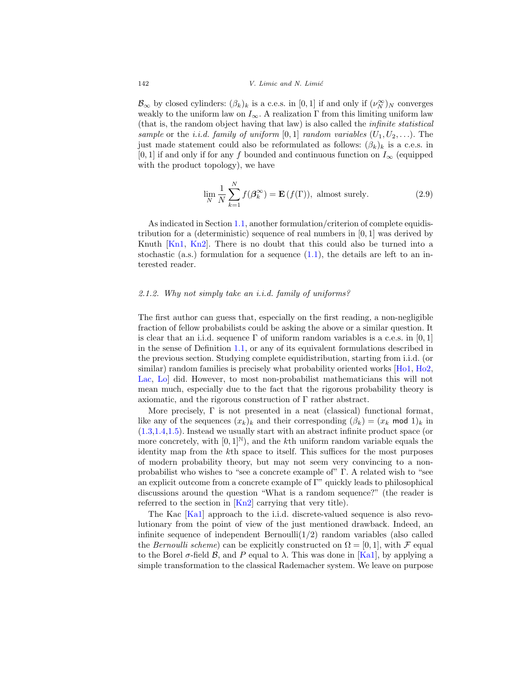$\mathcal{B}_{\infty}$  by closed cylinders:  $(\beta_k)_k$  is a c.e.s. in [0, 1] if and only if  $(\nu_N^{\infty})_N$  converges weakly to the uniform law on  $I_{\infty}$ . A realization  $\Gamma$  from this limiting uniform law (that is, the random object having that law) is also called the infinite statistical sample or the *i.i.d.* family of uniform [0, 1] random variables  $(U_1, U_2, \ldots)$ . The just made statement could also be reformulated as follows:  $(\beta_k)_k$  is a c.e.s. in [0, 1] if and only if for any f bounded and continuous function on  $I_{\infty}$  (equipped with the product topology), we have

<span id="page-11-1"></span>
$$
\lim_{N} \frac{1}{N} \sum_{k=1}^{N} f(\beta_k^{\infty}) = \mathbf{E}(f(\Gamma)), \text{ almost surely.}
$$
 (2.9)

As indicated in Section [1.1,](#page-2-0) another formulation/criterion of complete equidistribution for a (deterministic) sequence of real numbers in [0, 1] was derived by Knuth [\[Kn1](#page-23-0), [Kn2\]](#page-23-1). There is no doubt that this could also be turned into a stochastic (a.s.) formulation for a sequence  $(1.1)$ , the details are left to an interested reader.

# <span id="page-11-0"></span>2.1.2. Why not simply take an i.i.d. family of uniforms?

The first author can guess that, especially on the first reading, a non-negligible fraction of fellow probabilists could be asking the above or a similar question. It is clear that an i.i.d. sequence  $\Gamma$  of uniform random variables is a c.e.s. in [0, 1] in the sense of Definition [1.1,](#page-5-0) or any of its equivalent formulations described in the previous section. Studying complete equidistribution, starting from i.i.d. (or similar) random families is precisely what probability oriented works [\[Ho1,](#page-22-6) [Ho2,](#page-22-7) [Lac](#page-23-4), [Lo\]](#page-24-1) did. However, to most non-probabilist mathematicians this will not mean much, especially due to the fact that the rigorous probability theory is axiomatic, and the rigorous construction of  $\Gamma$  rather abstract.

More precisely,  $\Gamma$  is not presented in a neat (classical) functional format, like any of the sequences  $(x_k)_k$  and their corresponding  $(\beta_k)=(x_k \mod 1)_k$  in [\(1.3](#page-4-0)[,1.4,](#page-4-1)[1.5\)](#page-4-2). Instead we usually start with an abstract infinite product space (or more concretely, with  $[0,1]^{\mathbb{N}}$ , and the kth uniform random variable equals the identity map from the kth space to itself. This suffices for the most purposes of modern probability theory, but may not seem very convincing to a nonprobabilist who wishes to "see a concrete example of" Γ. A related wish to "see an explicit outcome from a concrete example of Γ" quickly leads to philosophical discussions around the question "What is a random sequence?" (the reader is referred to the section in  $\vert$ Kn2 $\vert$  carrying that very title).

The Kac [\[Ka1\]](#page-22-2) approach to the i.i.d. discrete-valued sequence is also revolutionary from the point of view of the just mentioned drawback. Indeed, an infinite sequence of independent Bernoulli $(1/2)$  random variables (also called the Bernoulli scheme) can be explicitly constructed on  $\Omega = [0, 1]$ , with F equal to the Borel  $\sigma$ -field  $\beta$ , and P equal to  $\lambda$ . This was done in [\[Ka1\]](#page-22-2), by applying a simple transformation to the classical Rademacher system. We leave on purpose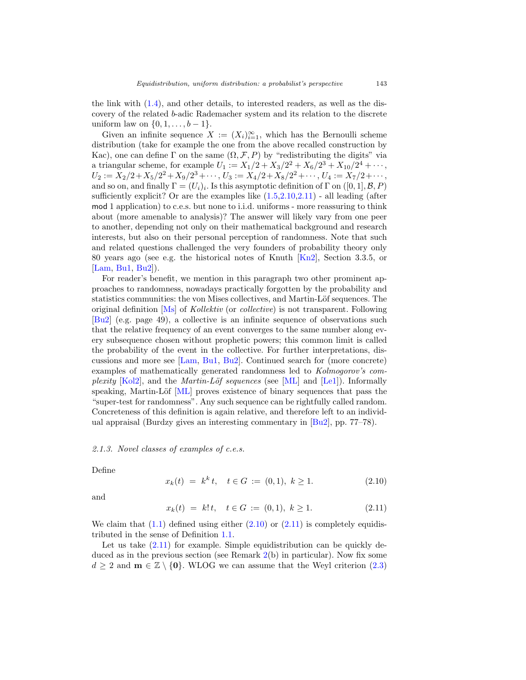the link with [\(1.4\)](#page-4-1), and other details, to interested readers, as well as the discovery of the related b-adic Rademacher system and its relation to the discrete uniform law on  $\{0, 1, \ldots, b-1\}.$ 

Given an infinite sequence  $X := (X_i)_{i=1}^{\infty}$ , which has the Bernoulli scheme distribution (take for example the one from the above recalled construction by Kac), one can define  $\Gamma$  on the same  $(\Omega, \mathcal{F}, P)$  by "redistributing the digits" via a triangular scheme, for example  $U_1 := X_1/2 + X_3/2^2 + X_6/2^3 + X_{10}/2^4 + \cdots$ ,  $U_2 := X_2/2 + X_5/2^2 + X_9/2^3 + \cdots$ ,  $U_3 := X_4/2 + X_8/2^2 + \cdots$ ,  $U_4 := X_7/2 + \cdots$ , and so on, and finally  $\Gamma = (U_i)_i$ . Is this asymptotic definition of  $\Gamma$  on  $([0, 1], \mathcal{B}, P)$ sufficiently explicit? Or are the examples like  $(1.5, 2.10, 2.11)$  $(1.5, 2.10, 2.11)$  $(1.5, 2.10, 2.11)$  - all leading (after mod 1 application) to c.e.s. but none to i.i.d. uniforms - more reassuring to think about (more amenable to analysis)? The answer will likely vary from one peer to another, depending not only on their mathematical background and research interests, but also on their personal perception of randomness. Note that such and related questions challenged the very founders of probability theory only 80 years ago (see e.g. the historical notes of Knuth [\[Kn2](#page-23-1)], Section 3.3.5, or [\[Lam](#page-23-11), [Bu1,](#page-21-1) [Bu2](#page-22-14)]).

For reader's benefit, we mention in this paragraph two other prominent approaches to randomness, nowadays practically forgotten by the probability and statistics communities: the von Mises collectives, and Martin-Löf sequences. The original definition [\[Ms](#page-24-8)] of Kollektiv (or collective) is not transparent. Following [\[Bu2](#page-22-14)] (e.g. page 49), a collective is an infinite sequence of observations such that the relative frequency of an event converges to the same number along every subsequence chosen without prophetic powers; this common limit is called the probability of the event in the collective. For further interpretations, discussions and more see [\[Lam](#page-23-11), [Bu1](#page-21-1), [Bu2\]](#page-22-14). Continued search for (more concrete) examples of mathematically generated randomness led to Kolmogorov's com*plexity* [\[Kol2](#page-23-12)], and the *Martin-Löf sequences* (see [\[ML](#page-24-9)] and [\[Le1\]](#page-23-13)). Informally speaking, Martin-Löf [\[ML](#page-24-9)] proves existence of binary sequences that pass the "super-test for randomness". Any such sequence can be rightfully called random. Concreteness of this definition is again relative, and therefore left to an individual appraisal (Burdzy gives an interesting commentary in [\[Bu2](#page-22-14)], pp. 77–78).

## <span id="page-12-0"></span>2.1.3. Novel classes of examples of c.e.s.

Define

<span id="page-12-1"></span>
$$
x_k(t) = k^k t, \quad t \in G := (0,1), \ k \ge 1. \tag{2.10}
$$

and

<span id="page-12-2"></span>
$$
x_k(t) = k! \, t, \quad t \in G := (0,1), \ k \ge 1. \tag{2.11}
$$

We claim that  $(1.1)$  defined using either  $(2.10)$  or  $(2.11)$  is completely equidistributed in the sense of Definition [1.1.](#page-5-0)

Let us take  $(2.11)$  for example. Simple equidistribution can be quickly deduced as in the previous section (see Remark [2\(](#page-9-0)b) in particular). Now fix some  $d \geq 2$  and **m**  $\in \mathbb{Z} \setminus \{0\}$ . WLOG we can assume that the Weyl criterion [\(2.3\)](#page-8-1)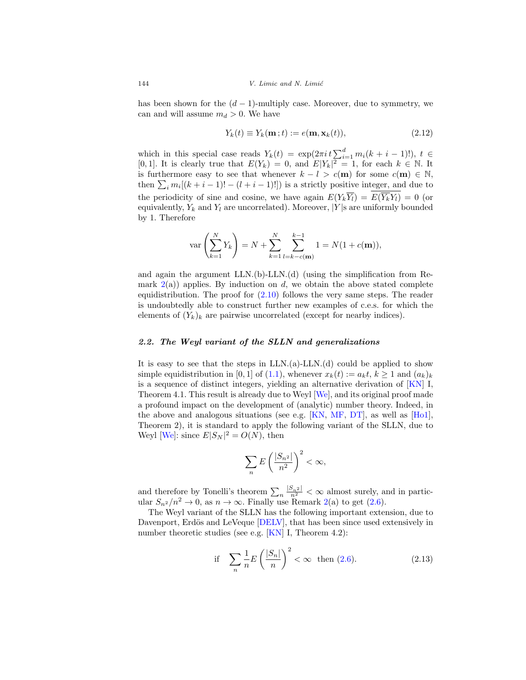has been shown for the  $(d-1)$ -multiply case. Moreover, due to symmetry, we can and will assume  $m_d > 0$ . We have

<span id="page-13-1"></span>
$$
Y_k(t) \equiv Y_k(\mathbf{m};t) := e(\mathbf{m}, \mathbf{x}_k(t)),\tag{2.12}
$$

which in this special case reads  $Y_k(t) = \exp(2\pi i t \sum_{i=1}^d m_i(k+i-1)!), t \in$ [0, 1]. It is clearly true that  $E(Y_k) = 0$ , and  $E|Y_k|^2 = 1$ , for each  $k \in \mathbb{N}$ . It is furthermore easy to see that whenever  $k - l > c(\mathbf{m})$  for some  $c(\mathbf{m}) \in \mathbb{N}$ , then  $\sum_i m_i[(k+i-1)! - (l+i-1)!])$  is a strictly positive integer, and due to the periodicity of sine and cosine, we have again  $E(Y_k\overline{Y}_l) = E(\overline{Y}_kY_l) = 0$  (or equivalently,  $Y_k$  and  $Y_l$  are uncorrelated). Moreover, |Y|s are uniformly bounded by 1. Therefore

$$
\text{var}\left(\sum_{k=1}^{N} Y_k\right) = N + \sum_{k=1}^{N} \sum_{l=k-c(\mathbf{m})}^{k-1} 1 = N(1+c(\mathbf{m})),
$$

and again the argument LLN.(b)-LLN.(d) (using the simplification from Remark  $2(a)$  $2(a)$ ) applies. By induction on d, we obtain the above stated complete equidistribution. The proof for [\(2.10\)](#page-12-1) follows the very same steps. The reader is undoubtedly able to construct further new examples of c.e.s. for which the elements of  $(Y_k)_k$  are pairwise uncorrelated (except for nearby indices).

## <span id="page-13-0"></span>*2.2. The Weyl variant of the SLLN and generalizations*

It is easy to see that the steps in LLN.(a)-LLN.(d) could be applied to show simple equidistribution in [0, 1] of [\(1.1\)](#page-1-0), whenever  $x_k(t) := a_k t, k \ge 1$  and  $(a_k)_k$ is a sequence of distinct integers, yielding an alternative derivation of  $\overline{KN}$  I, Theorem 4.1. This result is already due to Weyl [\[We\]](#page-24-5), and its original proof made a profound impact on the development of (analytic) number theory. Indeed, in the above and analogous situations (see e.g. [\[KN](#page-23-3), [MF,](#page-24-7) [DT](#page-22-8)], as well as [\[Ho1\]](#page-22-6), Theorem 2), it is standard to apply the following variant of the SLLN, due to Weyl [\[We](#page-24-5)]: since  $E|S_N|^2 = O(N)$ , then

$$
\sum_n E\left(\frac{|S_{n^2}|}{n^2}\right)^2 < \infty,
$$

and therefore by Tonelli's theorem  $\sum_{n} \frac{|S_n^2|}{n^2} < \infty$  almost surely, and in particular  $S_{n^2}/n^2 \to 0$ , as  $n \to \infty$ . Finally use Remark [2\(](#page-9-0)a) to get [\(2.6\)](#page-8-2).

The Weyl variant of the SLLN has the following important extension, due to Davenport, Erdös and LeVeque [\[DELV\]](#page-22-9), that has been since used extensively in number theoretic studies (see e.g.  $[KN]$  $[KN]$  I, Theorem 4.2):

<span id="page-13-2"></span>if 
$$
\sum_{n} \frac{1}{n} E\left(\frac{|S_n|}{n}\right)^2 < \infty \quad \text{then (2.6).} \tag{2.13}
$$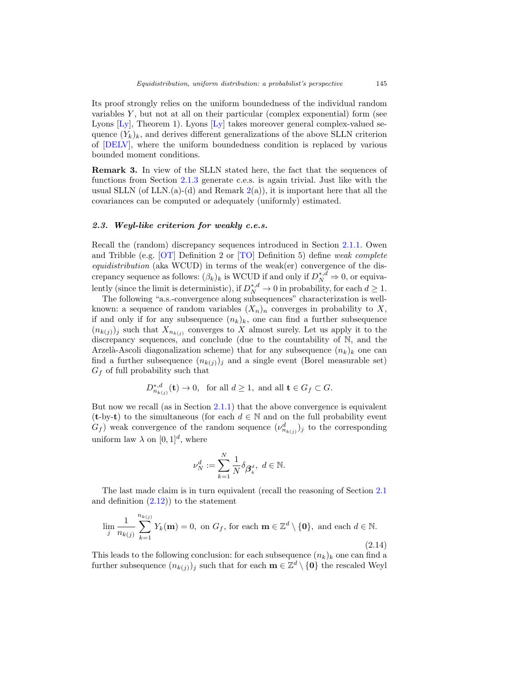Its proof strongly relies on the uniform boundedness of the individual random variables  $Y$ , but not at all on their particular (complex exponential) form (see Lyons  $[L_y]$ , Theorem 1). Lyons  $[L_y]$  takes moreover general complex-valued sequence  $(Y_k)_k$ , and derives different generalizations of the above SLLN criterion of [\[DELV](#page-22-9)], where the uniform boundedness condition is replaced by various bounded moment conditions.

**Remark 3.** In view of the SLLN stated here, the fact that the sequences of functions from Section [2.1.3](#page-12-0) generate c.e.s. is again trivial. Just like with the usual SLLN (of LLN. $(a)$ - $(d)$  and Remark  $2(a)$  $2(a)$ ), it is important here that all the covariances can be computed or adequately (uniformly) estimated.

# <span id="page-14-0"></span>*2.3. Weyl-like criterion for weakly c.e.s.*

Recall the (random) discrepancy sequences introduced in Section [2.1.1.](#page-10-0) Owen and Tribble (e.g. [\[OT\]](#page-24-3) Definition 2 or [\[TO\]](#page-24-2) Definition 5) define weak complete equidistribution (aka WCUD) in terms of the weak(er) convergence of the discrepancy sequence as follows:  $(\beta_k)_k$  is WCUD if and only if  $D_N^{*,d} \Rightarrow 0$ , or equivalently (since the limit is deterministic), if  $D_N^{*,d} \to 0$  in probability, for each  $d \geq 1$ .

The following "a.s.-convergence along subsequences" characterization is wellknown: a sequence of random variables  $(X_n)_n$  converges in probability to X, if and only if for any subsequence  $(n_k)_k$ , one can find a further subsequence  $(n_{k(j)})_j$  such that  $X_{n_{k(j)}}$  converges to X almost surely. Let us apply it to the discrepancy sequences, and conclude (due to the countability of N, and the Arzelà-Ascoli diagonalization scheme) that for any subsequence  $(n_k)_k$  one can find a further subsequence  $(n_{k(j)})_j$  and a single event (Borel measurable set)  $G_f$  of full probability such that

$$
D_{n_{k(j)}}^{*,d}(\mathbf{t}) \to 0, \text{ for all } d \ge 1, \text{ and all } \mathbf{t} \in G_f \subset G.
$$

But now we recall (as in Section [2.1.1\)](#page-10-0) that the above convergence is equivalent (**t**-by-**t**) to the simultaneous (for each  $d \in \mathbb{N}$  and on the full probability event  $G_f$ ) weak convergence of the random sequence  $(\nu_{n_{k(j)}}^d)_j$  to the corresponding uniform law  $\lambda$  on  $[0, 1]^d$ , where

$$
\nu_N^d:=\sum_{k=1}^N\frac{1}{N}\delta_{\boldsymbol{\beta}^d_k},\ d\in\mathbb{N}.
$$

The last made claim is in turn equivalent (recall the reasoning of Section [2.1](#page-7-1) and definition  $(2.12)$  to the statement

$$
\lim_{j} \frac{1}{n_{k(j)}} \sum_{k=1}^{n_{k(j)}} Y_k(\mathbf{m}) = 0, \text{ on } G_f, \text{ for each } \mathbf{m} \in \mathbb{Z}^d \setminus \{\mathbf{0}\}, \text{ and each } d \in \mathbb{N}.
$$
\n(2.14)

This leads to the following conclusion: for each subsequence  $(n_k)_k$  one can find a further subsequence  $(n_{k(j)})_j$  such that for each  $\mathbf{m} \in \mathbb{Z}^d \setminus \{\mathbf{0}\}\$  the rescaled Weyl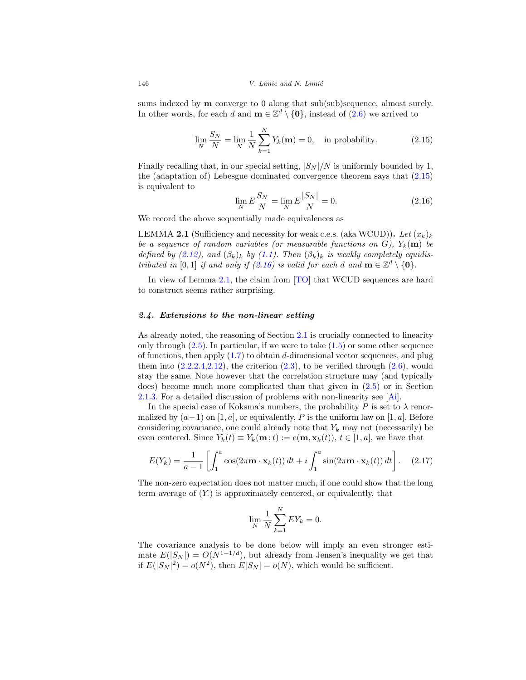sums indexed by **m** converge to 0 along that sub(sub)sequence, almost surely. In other words, for each d and  $\mathbf{m} \in \mathbb{Z}^d \setminus \{\mathbf{0}\}\)$ , instead of [\(2.6\)](#page-8-2) we arrived to

<span id="page-15-1"></span>
$$
\lim_{N} \frac{S_N}{N} = \lim_{N} \frac{1}{N} \sum_{k=1}^{N} Y_k(\mathbf{m}) = 0, \text{ in probability.}
$$
 (2.15)

Finally recalling that, in our special setting,  $|S_N|/N$  is uniformly bounded by 1, the (adaptation of) Lebesgue dominated convergence theorem says that [\(2.15\)](#page-15-1) is equivalent to

<span id="page-15-2"></span>
$$
\lim_{N} E\frac{S_N}{N} = \lim_{N} E\frac{|S_N|}{N} = 0.
$$
\n(2.16)

We record the above sequentially made equivalences as

<span id="page-15-3"></span>**LEMMA 2.1** (Sufficiency and necessity for weak c.e.s. (aka WCUD)). Let  $(x_k)_k$ be a sequence of random variables (or measurable functions on  $G$ ),  $Y_k(m)$  be defined by [\(2.12\)](#page-13-1), and  $(\beta_k)_k$  by [\(1.1\)](#page-1-0). Then  $(\beta_k)_k$  is weakly completely equidistributed in [0, 1] if and only if  $(2.16)$  is valid for each d and  $\mathbf{m} \in \mathbb{Z}^d \setminus \{\mathbf{0}\}.$ 

In view of Lemma [2.1,](#page-15-3) the claim from [\[TO](#page-24-2)] that WCUD sequences are hard to construct seems rather surprising.

## <span id="page-15-0"></span>*2.4. Extensions to the non-linear setting*

As already noted, the reasoning of Section [2.1](#page-7-1) is crucially connected to linearity only through  $(2.5)$ . In particular, if we were to take  $(1.5)$  or some other sequence of functions, then apply  $(1.7)$  to obtain d-dimensional vector sequences, and plug them into  $(2.2, 2.4, 2.12)$  $(2.2, 2.4, 2.12)$ , the criterion  $(2.3)$ , to be verified through  $(2.6)$ , would stay the same. Note however that the correlation structure may (and typically does) become much more complicated than that given in [\(2.5\)](#page-8-3) or in Section [2.1.3.](#page-12-0) For a detailed discussion of problems with non-linearity see [\[Ai](#page-21-2)].

In the special case of Koksma's numbers, the probability P is set to  $\lambda$  renormalized by  $(a-1)$  on [1, a], or equivalently, P is the uniform law on [1, a]. Before considering covariance, one could already note that  $Y_k$  may not (necessarily) be even centered. Since  $Y_k(t) \equiv Y_k(\mathbf{m};t) := e(\mathbf{m}, \mathbf{x}_k(t)), t \in [1, a]$ , we have that

<span id="page-15-4"></span>
$$
E(Y_k) = \frac{1}{a-1} \left[ \int_1^a \cos(2\pi \mathbf{m} \cdot \mathbf{x}_k(t)) dt + i \int_1^a \sin(2\pi \mathbf{m} \cdot \mathbf{x}_k(t)) dt \right].
$$
 (2.17)

The non-zero expectation does not matter much, if one could show that the long term average of  $(Y)$  is approximately centered, or equivalently, that

$$
\lim_{N} \frac{1}{N} \sum_{k=1}^{N} EY_k = 0.
$$

The covariance analysis to be done below will imply an even stronger estimate  $E(|S_N|) = O(N^{1-1/d})$ , but already from Jensen's inequality we get that if  $E(|S_N|^2) = o(N^2)$ , then  $E|S_N| = o(N)$ , which would be sufficient.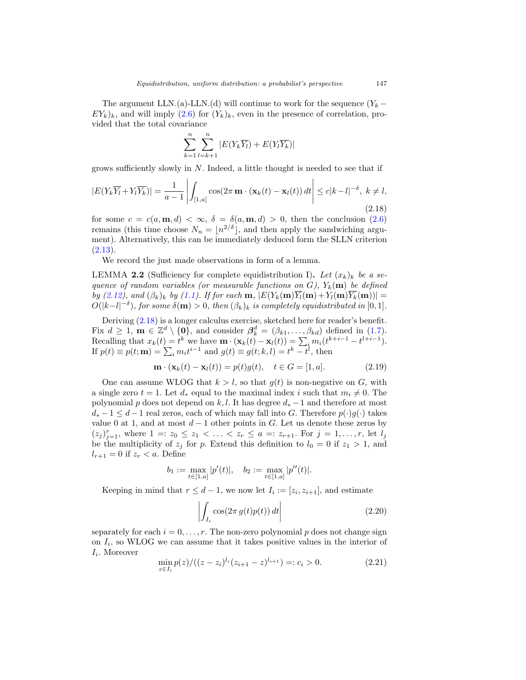The argument LLN.(a)-LLN.(d) will continue to work for the sequence  $(Y_k E(Y_k)_k$ , and will imply  $(2.6)$  for  $(Y_k)_k$ , even in the presence of correlation, provided that the total covariance

$$
\sum_{k=1}^{n} \sum_{l=k+1}^{n} |E(Y_k \overline{Y_l}) + E(Y_l \overline{Y_k})|
$$

grows sufficiently slowly in  $N$ . Indeed, a little thought is needed to see that if

<span id="page-16-0"></span>
$$
|E(Y_k \overline{Y_l} + Y_l \overline{Y_k})| = \frac{1}{a-1} \left| \int_{[1,a]} \cos(2\pi \mathbf{m} \cdot (\mathbf{x}_k(t) - \mathbf{x}_l(t)) dt \right| \le c|k-l|^{-\delta}, \ k \ne l,
$$
\n(2.18)

for some  $c = c(a, \mathbf{m}, d) < \infty$ ,  $\delta = \delta(a, \mathbf{m}, d) > 0$ , then the conclusion [\(2.6\)](#page-8-2) remains (this time choose  $N_n = \lfloor n^{2/\delta} \rfloor$ , and then apply the sandwiching argument). Alternatively, this can be immediately deduced form the SLLN criterion  $(2.13).$  $(2.13).$ 

We record the just made observations in form of a lemma.

LEMMA **2.2** (Sufficiency for complete equidistribution I). Let  $(x_k)_k$  be a sequence of random variables (or measurable functions on  $G$ ),  $Y_k(\mathbf{m})$  be defined by [\(2.12\)](#page-13-1), and  $(\beta_k)_k$  by [\(1.1\)](#page-1-0). If for each **m**,  $|E(Y_k(\mathbf{m})\overline{Y_l}(\mathbf{m})+Y_l(\mathbf{m})\overline{Y_k}(\mathbf{m}))|=$  $O(|k-l|^{-\delta})$ , for some  $\delta(\mathbf{m}) > 0$ , then  $(\beta_k)_k$  is completely equidistributed in [0, 1].

Deriving [\(2.18\)](#page-16-0) is a longer calculus exercise, sketched here for reader's benefit. Fix  $d \geq 1$ ,  $\mathbf{m} \in \mathbb{Z}^d \setminus \{0\}$ , and consider  $\beta_k^d = (\beta_{k1}, \ldots, \beta_{kd})$  defined in [\(1.7\)](#page-4-4). Recalling that  $x_k(t) = t^k$  we have  $\mathbf{m} \cdot (\mathbf{x}_k(t) - \mathbf{x}_l(t)) = \sum_i m_i(t^{k+i-1} - t^{l+i-1}).$ If  $p(t) \equiv p(t; \mathbf{m}) = \sum_i m_i t^{i-1}$  and  $g(t) \equiv g(t; k, l) = t^k - t^l$ , then

<span id="page-16-3"></span>
$$
\mathbf{m} \cdot (\mathbf{x}_k(t) - \mathbf{x}_l(t)) = p(t)g(t), \quad t \in G = [1, a]. \tag{2.19}
$$

One can assume WLOG that  $k > l$ , so that  $g(t)$  is non-negative on G, with a single zero  $t = 1$ . Let  $d_*$  equal to the maximal index i such that  $m_i \neq 0$ . The polynomial p does not depend on k,l. It has degree  $d_*$  – 1 and therefore at most  $d_* - 1 \leq d - 1$  real zeros, each of which may fall into G. Therefore  $p(\cdot)g(\cdot)$  takes value 0 at 1, and at most  $d-1$  other points in G. Let us denote these zeros by  $(z_j)_{j=1}^r$ , where  $1 =: z_0 \leq z_1 < \ldots < z_r \leq a =: z_{r+1}$ . For  $j = 1, \ldots, r$ , let  $l_j$ be the multiplicity of  $z_j$  for p. Extend this definition to  $l_0 = 0$  if  $z_1 > 1$ , and  $l_{r+1} = 0$  if  $z_r < a$ . Define

$$
b_1 := \max_{t \in [1,a]} |p'(t)|, \quad b_2 := \max_{t \in [1,a]} |p''(t)|.
$$

Keeping in mind that  $r \leq d-1$ , we now let  $I_i := [z_i, z_{i+1}]$ , and estimate

<span id="page-16-1"></span>
$$
\left| \int_{I_i} \cos(2\pi g(t)p(t)) \, dt \right| \tag{2.20}
$$

separately for each  $i = 0, \ldots, r$ . The non-zero polynomial p does not change sign on  $I_i$ , so WLOG we can assume that it takes positive values in the interior of  $I_i$ . Moreover

<span id="page-16-2"></span>
$$
\min_{z \in I_i} p(z) / ((z - z_i)^{l_i} (z_{i+1} - z)^{l_{i+1}}) =: c_i > 0.
$$
\n(2.21)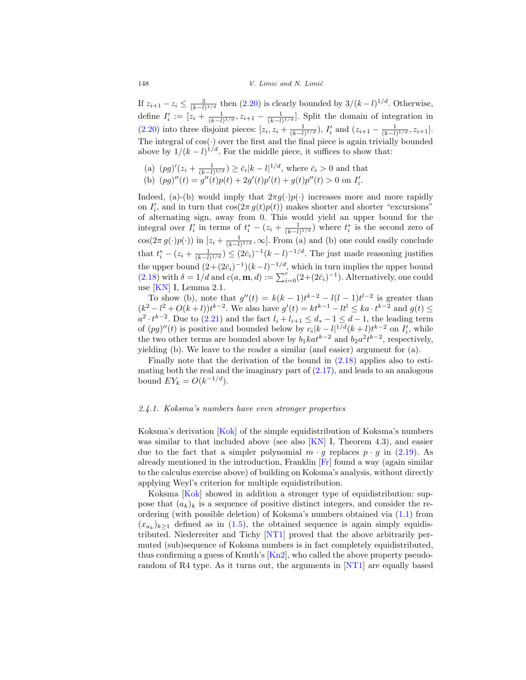If  $z_{i+1} - z_i \leq \frac{3}{(k-l)^{1/d}}$  then [\(2.20\)](#page-16-1) is clearly bounded by  $3/(k-l)^{1/d}$ . Otherwise, define  $I'_i := [z_i + \frac{1}{(k-l)^{1/d}}, z_{i+1} - \frac{1}{(k-l)^{1/d}}]$ . Split the domain of integration in [\(2.20\)](#page-16-1) into three disjoint pieces:  $[z_i, z_i + \frac{1}{(k-l)^{1/d}}), I'_i$  and  $(z_{i+1} - \frac{1}{(k-l)^{1/d}}, z_{i+1}].$ The integral of  $cos(\cdot)$  over the first and the final piece is again trivially bounded above by  $1/(k-l)^{1/d}$ . For the middle piece, it suffices to show that:

(a)  $(pg)'(z_i + \frac{1}{(k-l)^{1/d}}) \ge \bar{c}_i |k-l|^{1/d}$ , where  $\bar{c}_i > 0$  and that (b)  $(pg)''(t) = g''(t)p(t) + 2g'(t)p'(t) + g(t)p''(t) > 0$  on  $I'_i$ .

Indeed, (a)-(b) would imply that  $2\pi g(\cdot)p(\cdot)$  increases more and more rapidly on  $I'_i$ , and in turn that  $\cos(2\pi g(t)p(t))$  makes shorter and shorter "excursions" of alternating sign, away from 0. This would yield an upper bound for the integral over  $I'_i$  in terms of  $t_i^* - (z_i + \frac{1}{(k-l)^{1/d}})$  where  $t_i^*$  is the second zero of  $\cos(2\pi g(\cdot)p(\cdot))$  in  $[z_i + \frac{1}{(k-l)^{1/d}}, \infty]$ . From (a) and (b) one could easily conclude that  $t_i^* - (z_i + \frac{1}{(k-l)^{1/d}}) \leq (2\bar{c}_i)^{-1}(k-l)^{-1/d}$ . The just made reasoning justifies the upper bound  $(2+(2\bar{c}_i)^{-1})(k-l)^{-1/d}$ , which in turn implies the upper bound  $(2.18)$  with  $\delta = 1/d$  and  $c(a, \mathbf{m}, d) := \sum_{i=0}^{r} (2 + (2\bar{c}_i)^{-1})$ . Alternatively, one could use [\[KN\]](#page-23-3) I, Lemma 2.1.

To show (b), note that  $g''(t) = k(k-1)t^{k-2} - l(l-1)t^{l-2}$  is greater than  $(k^2 - l^2 + O(k+l))t^{k-2}$ . We also have  $g'(t) = kt^{k-1} - lt^l \le ka \cdot t^{k-2}$  and  $g(t) \le$  $a^2 \cdot t^{k-2}$ . Due to  $(2.21)$  and the fact  $l_i + l_{i+1} \leq d_* - 1 \leq d-1$ , the leading term of  $(pg)''(t)$  is positive and bounded below by  $c_i|k-l|^{1/d}(k+l)t^{k-2}$  on  $I'_i$ , while the two other terms are bounded above by  $b_1 k a t^{k-2}$  and  $b_2 a^2 t^{k-2}$ , respectively, yielding (b). We leave to the reader a similar (and easier) argument for (a).

Finally note that the derivation of the bound in  $(2.18)$  applies also to estimating both the real and the imaginary part of  $(2.17)$ , and leads to an analogous bound  $EY_k = O(k^{-1/d})$ .

#### <span id="page-17-0"></span>2.4.1. Koksma's numbers have even stronger properties

Koksma's derivation [\[Kok](#page-23-7)] of the simple equidistribution of Koksma's numbers was similar to that included above (see also [\[KN](#page-23-3)] I, Theorem 4.3), and easier due to the fact that a simpler polynomial  $m \cdot g$  replaces  $p \cdot g$  in [\(2.19\)](#page-16-3). As already mentioned in the introduction, Franklin [\[Fr](#page-22-10)] found a way (again similar to the calculus exercise above) of building on Koksma's analysis, without directly applying Weyl's criterion for multiple equidistribution.

Koksma [\[Kok\]](#page-23-7) showed in addition a stronger type of equidistribution: suppose that  $(a_k)_k$  is a sequence of positive distinct integers, and consider the reordering (with possible deletion) of Koksma's numbers obtained via [\(1.1\)](#page-1-0) from  $(x_{a_k})_{k\geq 1}$  defined as in  $(1.5)$ , the obtained sequence is again simply equidistributed. Niederreiter and Tichy [\[NT1\]](#page-24-0) proved that the above arbitrarily permuted (sub)sequence of Koksma numbers is in fact completely equidistributed, thus confirming a guess of Knuth's [\[Kn2\]](#page-23-1), who called the above property pseudorandom of R4 type. As it turns out, the arguments in [\[NT1](#page-24-0)] are equally based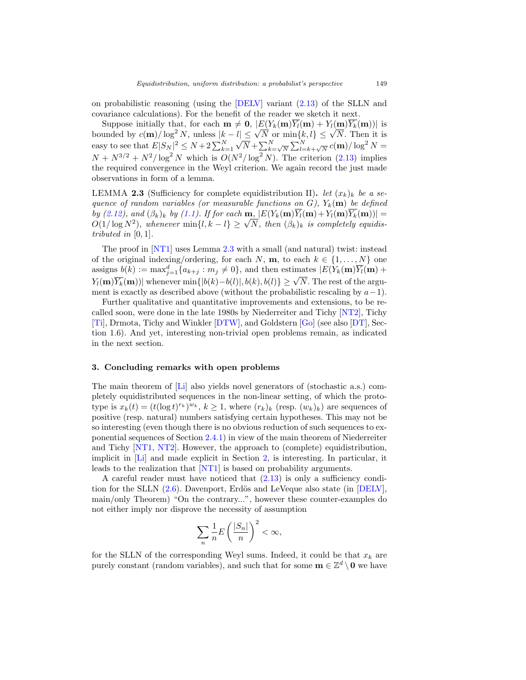on probabilistic reasoning (using the [\[DELV](#page-22-9)] variant [\(2.13\)](#page-13-2) of the SLLN and covariance calculations). For the benefit of the reader we sketch it next.

Suppose initially that, for each  $\mathbf{m} \neq \mathbf{0}$ ,  $|E(Y_k(\mathbf{m})Y_l(\mathbf{m}) + Y_l(\mathbf{m})Y_k(\mathbf{m}))|$  is bounded by  $c(\mathbf{m})/\log^2 N$ , unless  $|k - l| \leq \sqrt{N}$  or  $\min\{k, l\} \leq \sqrt{N}$ . Then it is easy to see that  $E|S_N|^2 \leq N+2\sum_{k=1}^N$  $\sqrt{N} + \sum_{k=\sqrt{N}}^{N} \sum_{l=k+\sqrt{N}}^{N} c(\mathbf{m})/\log^2 N =$  $N + N^{3/2} + N^2/\log^2 N$  which is  $O(N^2/\log^2 N)$ . The criterion [\(2.13\)](#page-13-2) implies the required convergence in the Weyl criterion. We again record the just made observations in form of a lemma.

<span id="page-18-1"></span>LEMMA **2.3** (Sufficiency for complete equidistribution II). *let*  $(x_k)_k$  *be a se*quence of random variables (or measurable functions on  $G$ ),  $Y_k(m)$  be defined by [\(2.12\)](#page-13-1), and  $(\beta_k)_k$  by [\(1.1\)](#page-1-0). If for each **m**,  $|E(Y_k(m)\overline{Y}_l(m)+Y_l(m)\overline{Y}_k(m))|=$  $\begin{aligned} &\textit{O}(1/\log N^2), \textit{ and } (\beta_k)_k \textit{ by } (1.1). \textit{ If for each } \mathbf{m}, |\mathcal{E}(Y_k(\mathbf{m})Y_l(\mathbf{m}) + Y_l(\mathbf{m})Y_k(\mathbf{m}))| = \\ &O(1/\log N^2), \textit{ whenever } \min\{l, k - l\} \geq \sqrt{N}, \textit{ then } (\beta_k)_k \textit{ is completely equidis-} \end{aligned}$ tributed in  $[0, 1]$ .

The proof in [\[NT1](#page-24-0)] uses Lemma [2.3](#page-18-1) with a small (and natural) twist: instead of the original indexing/ordering, for each  $N$ , **m**, to each  $k \in \{1, ..., N\}$  one assigns  $b(k) := \max_{j=1}^d \{a_{k+j} : m_j \neq 0\}$ , and then estimates  $|E(Y_k(\mathbf{m})\overline{Y_k}(\mathbf{m}) +$  $Y_l(\mathbf{m})\overline{Y_k}(\mathbf{m})$  whenever min{ $|b(k)-b(l)|, b(k), b(l)\} \geq \sqrt{N}$ . The rest of the argument is exactly as described above (without the probabilistic rescaling by  $a-1$ ).

Further qualitative and quantitative improvements and extensions, to be recalled soon, were done in the late 1980s by Niederreiter and Tichy [\[NT2](#page-24-10)], Tichy [\[Ti\]](#page-24-11), Drmota, Tichy and Winkler [\[DTW\]](#page-22-15), and Goldstern [\[Go](#page-22-16)] (see also [\[DT\]](#page-22-8), Section 1.6). And yet, interesting non-trivial open problems remain, as indicated in the next section.

## <span id="page-18-0"></span>**3. Concluding remarks with open problems**

The main theorem of [\[Li\]](#page-23-6) also yields novel generators of (stochastic a.s.) completely equidistributed sequences in the non-linear setting, of which the prototype is  $x_k(t)=(t(\log t)^{r_k})^{w_k}$ ,  $k\geq 1$ , where  $(r_k)_k$  (resp.  $(w_k)_k$ ) are sequences of positive (resp. natural) numbers satisfying certain hypotheses. This may not be so interesting (even though there is no obvious reduction of such sequences to exponential sequences of Section [2.4.1\)](#page-17-0) in view of the main theorem of Niederreiter and Tichy [\[NT1](#page-24-0), [NT2](#page-24-10)]. However, the approach to (complete) equidistribution, implicit in [\[Li](#page-23-6)] and made explicit in Section [2,](#page-7-0) is interesting. In particular, it leads to the realization that [\[NT1\]](#page-24-0) is based on probability arguments.

A careful reader must have noticed that [\(2.13\)](#page-13-2) is only a sufficiency condition for the SLLN  $(2.6)$ . Davenport, Erdös and LeVeque also state (in [\[DELV](#page-22-9)], main/only Theorem) "On the contrary...", however these counter-examples do not either imply nor disprove the necessity of assumption

$$
\sum_{n} \frac{1}{n} E\left(\frac{|S_n|}{n}\right)^2 < \infty,
$$

for the SLLN of the corresponding Weyl sums. Indeed, it could be that  $x_k$  are purely constant (random variables), and such that for some  $\mathbf{m} \in \mathbb{Z}^d \setminus \mathbf{0}$  we have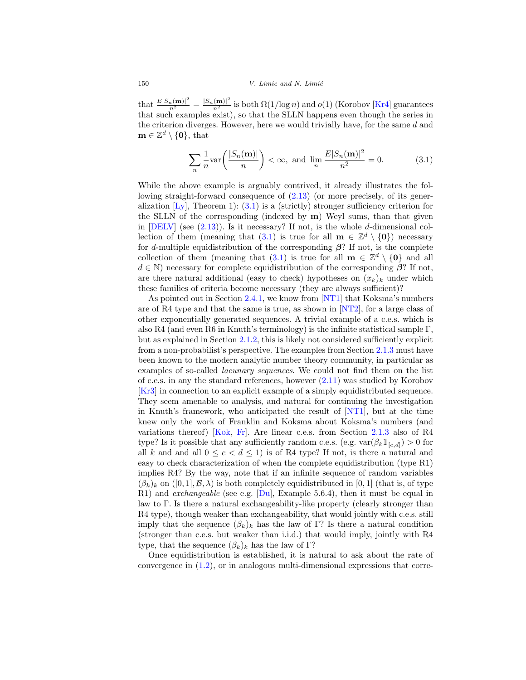that  $\frac{E|S_n(\mathbf{m})|^2}{n^2} = \frac{|S_n(\mathbf{m})|^2}{n^2}$  is both  $\Omega(1/\log n)$  and  $o(1)$  (Korobov [\[Kr4\]](#page-23-14) guarantees that such examples exist), so that the SLLN happens even though the series in the criterion diverges. However, here we would trivially have, for the same d and  $\mathbf{m} \in \mathbb{Z}^d \setminus \{\mathbf{0}\},\$  that

<span id="page-19-0"></span>
$$
\sum_{n} \frac{1}{n} \text{var}\left(\frac{|S_n(\mathbf{m})|}{n}\right) < \infty, \text{ and } \lim_{n} \frac{E|S_n(\mathbf{m})|^2}{n^2} = 0. \tag{3.1}
$$

While the above example is arguably contrived, it already illustrates the following straight-forward consequence of [\(2.13\)](#page-13-2) (or more precisely, of its generalization  $[L_y]$ , Theorem 1): [\(3.1\)](#page-19-0) is a (strictly) stronger sufficiency criterion for the SLLN of the corresponding (indexed by **m**) Weyl sums, than that given in  $[DELV]$  (see  $(2.13)$ ). Is it necessary? If not, is the whole d-dimensional col-lection of them (meaning that [\(3.1\)](#page-19-0) is true for all  $\mathbf{m} \in \mathbb{Z}^d \setminus \{\mathbf{0}\}\)$  necessary for d-multiple equidistribution of the corresponding *β*? If not, is the complete collection of them (meaning that [\(3.1\)](#page-19-0) is true for all  $\mathbf{m} \in \mathbb{Z}^d \setminus \{0\}$  and all  $d \in \mathbb{N}$ ) necessary for complete equidistribution of the corresponding  $\beta$ ? If not, are there natural additional (easy to check) hypotheses on  $(x_k)_k$  under which these families of criteria become necessary (they are always sufficient)?

As pointed out in Section [2.4.1,](#page-17-0) we know from [\[NT1](#page-24-0)] that Koksma's numbers are of R4 type and that the same is true, as shown in [\[NT2](#page-24-10)], for a large class of other exponentially generated sequences. A trivial example of a c.e.s. which is also R4 (and even R6 in Knuth's terminology) is the infinite statistical sample Γ, but as explained in Section [2.1.2,](#page-11-0) this is likely not considered sufficiently explicit from a non-probabilist's perspective. The examples from Section [2.1.3](#page-12-0) must have been known to the modern analytic number theory community, in particular as examples of so-called lacunary sequences. We could not find them on the list of c.e.s. in any the standard references, however [\(2.11\)](#page-12-2) was studied by Korobov [\[Kr3](#page-23-15)] in connection to an explicit example of a simply equidistributed sequence. They seem amenable to analysis, and natural for continuing the investigation in Knuth's framework, who anticipated the result of [\[NT1\]](#page-24-0), but at the time knew only the work of Franklin and Koksma about Koksma's numbers (and variations thereof) [\[Kok](#page-23-7), [Fr](#page-22-10)]. Are linear c.e.s. from Section [2.1.3](#page-12-0) also of R4 type? Is it possible that any sufficiently random c.e.s. (e.g.  $\text{var}(\beta_k 1_{[c,d]}) > 0$  for all k and and all  $0 \leq c < d \leq 1$ ) is of R4 type? If not, is there a natural and easy to check characterization of when the complete equidistribution (type R1) implies R4? By the way, note that if an infinite sequence of random variables  $(\beta_k)_k$  on  $([0,1], \mathcal{B}, \lambda)$  is both completely equidistributed in [0, 1] (that is, of type R1) and *exchangeable* (see e.g.  $\lbrack \text{Du} \rbrack$ , Example 5.6.4), then it must be equal in law to Γ. Is there a natural exchangeability-like property (clearly stronger than R4 type), though weaker than exchangeability, that would jointly with c.e.s. still imply that the sequence  $(\beta_k)_k$  has the law of Γ? Is there a natural condition (stronger than c.e.s. but weaker than i.i.d.) that would imply, jointly with R4 type, that the sequence  $(\beta_k)_k$  has the law of Γ?

Once equidistribution is established, it is natural to ask about the rate of convergence in [\(1.2\)](#page-1-1), or in analogous multi-dimensional expressions that corre-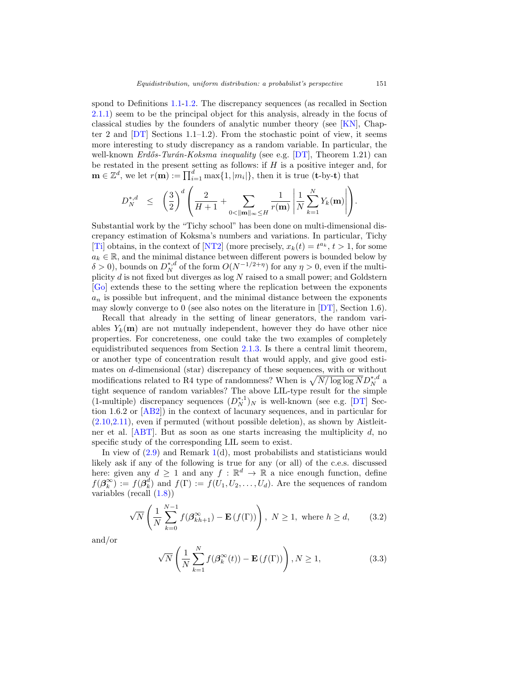spond to Definitions [1.1-](#page-5-0)[1.2.](#page-5-1) The discrepancy sequences (as recalled in Section [2.1.1\)](#page-10-0) seem to be the principal object for this analysis, already in the focus of classical studies by the founders of analytic number theory (see [\[KN](#page-23-3)], Chapter 2 and  $[DT]$  Sections 1.1–1.2). From the stochastic point of view, it seems more interesting to study discrepancy as a random variable. In particular, the well-known  $Erd\tilde{\sigma}s-Tur\tilde{\sigma}n-Koksma\ inequality$  (see e.g. [\[DT](#page-22-8)], Theorem 1.21) can be restated in the present setting as follows: if  $H$  is a positive integer and, for  $\mathbf{m} \in \mathbb{Z}^d$ , we let  $r(\mathbf{m}) := \prod_{i=1}^d \max\{1, |m_i|\}$ , then it is true (**t**-by-**t**) that

<span id="page-20-0"></span>
$$
D_N^{*,d} \le \left(\frac{3}{2}\right)^d \left(\frac{2}{H+1} + \sum_{0 < ||\mathbf{m}||_{\infty} \le H} \frac{1}{r(\mathbf{m})} \left| \frac{1}{N} \sum_{k=1}^N Y_k(\mathbf{m}) \right| \right).
$$

Substantial work by the "Tichy school" has been done on multi-dimensional discrepancy estimation of Koksma's numbers and variations. In particular, Tichy [\[Ti\]](#page-24-11) obtains, in the context of [\[NT2\]](#page-24-10) (more precisely,  $x_k(t) = t^{a_k}, t > 1$ , for some  $a_k \in \mathbb{R}$ , and the minimal distance between different powers is bounded below by  $\delta > 0$ ), bounds on  $D_N^{*,d}$  of the form  $O(N^{-1/2+\eta})$  for any  $\eta > 0$ , even if the multiplicity  $d$  is not fixed but diverges as  $log N$  raised to a small power; and Goldstern [\[Go](#page-22-16)] extends these to the setting where the replication between the exponents  $a_n$  is possible but infrequent, and the minimal distance between the exponents may slowly converge to 0 (see also notes on the literature in [\[DT\]](#page-22-8), Section 1.6).

Recall that already in the setting of linear generators, the random variables  $Y_k(\mathbf{m})$  are not mutually independent, however they do have other nice properties. For concreteness, one could take the two examples of completely equidistributed sequences from Section [2.1.3.](#page-12-0) Is there a central limit theorem, or another type of concentration result that would apply, and give good estimates on d-dimensional (star) discrepancy of these sequences, with or without modifications related to R4 type of randomness? When is  $\sqrt{N/\log\log N}D_N^{*,d}$  a tight sequence of random variables? The above LIL-type result for the simple (1-multiple) discrepancy sequences  $(D_N^{*,1})_N$  is well-known (see e.g. [\[DT\]](#page-22-8) Section 1.6.2 or [\[AB2](#page-21-0)]) in the context of lacunary sequences, and in particular for  $(2.10,2.11)$  $(2.10,2.11)$ , even if permuted (without possible deletion), as shown by Aistleit-ner et al. [\[ABT](#page-21-3)]. But as soon as one starts increasing the multiplicity  $d$ , no specific study of the corresponding LIL seem to exist.

In view of  $(2.9)$  and Remark [1\(](#page-5-2)d), most probabilists and statisticians would likely ask if any of the following is true for any (or all) of the c.e.s. discussed here: given any  $d \geq 1$  and any  $f : \mathbb{R}^d \to \mathbb{R}$  a nice enough function, define  $f(\boldsymbol{\beta}_k^{\infty}) := f(\boldsymbol{\beta}_k^d)$  and  $f(\Gamma) := f(U_1, U_2, \ldots, U_d)$ . Are the sequences of random variables (recall [\(1.8\)](#page-5-3))

$$
\sqrt{N}\left(\frac{1}{N}\sum_{k=0}^{N-1}f(\beta_{kh+1}^{\infty}) - \mathbf{E}(f(\Gamma))\right), N \ge 1, \text{ where } h \ge d,
$$
 (3.2)

and/or

<span id="page-20-1"></span>
$$
\sqrt{N}\left(\frac{1}{N}\sum_{k=1}^{N}f(\beta_k^{\infty}(t)) - \mathbf{E}\left(f(\Gamma)\right)\right), N \ge 1,
$$
\n(3.3)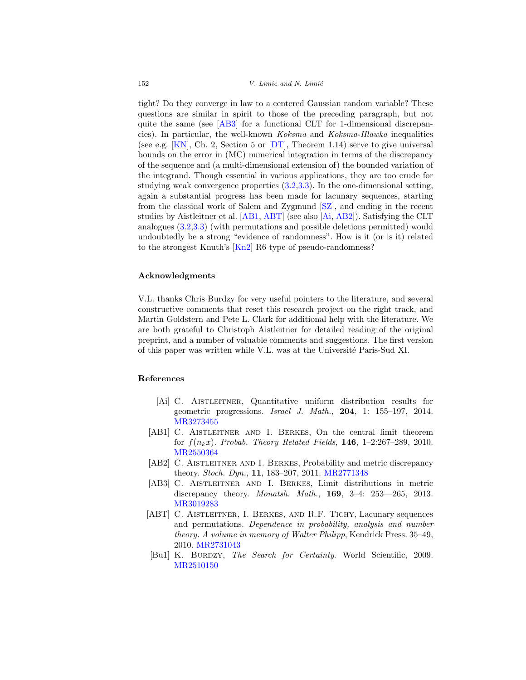tight? Do they converge in law to a centered Gaussian random variable? These questions are similar in spirit to those of the preceding paragraph, but not quite the same (see [\[AB3\]](#page-21-4) for a functional CLT for 1-dimensional discrepancies). In particular, the well-known Koksma and Koksma-Hlawka inequalities (see e.g. [\[KN](#page-23-3)], Ch. 2, Section 5 or  $DT$ ], Theorem 1.14) serve to give universal bounds on the error in (MC) numerical integration in terms of the discrepancy of the sequence and (a multi-dimensional extension of) the bounded variation of the integrand. Though essential in various applications, they are too crude for studying weak convergence properties [\(3.2](#page-20-0)[,3.3\)](#page-20-1). In the one-dimensional setting, again a substantial progress has been made for lacunary sequences, starting from the classical work of Salem and Zygmund [\[SZ\]](#page-24-12), and ending in the recent studies by Aistleitner et al. [\[AB1](#page-21-5), [ABT\]](#page-21-3) (see also [\[Ai,](#page-21-2) [AB2\]](#page-21-0)). Satisfying the CLT analogues [\(3.2](#page-20-0)[,3.3\)](#page-20-1) (with permutations and possible deletions permitted) would undoubtedly be a strong "evidence of randomness". How is it (or is it) related to the strongest Knuth's [\[Kn2\]](#page-23-1) R6 type of pseudo-randomness?

## **Acknowledgments**

V.L. thanks Chris Burdzy for very useful pointers to the literature, and several constructive comments that reset this research project on the right track, and Martin Goldstern and Pete L. Clark for additional help with the literature. We are both grateful to Christoph Aistleitner for detailed reading of the original preprint, and a number of valuable comments and suggestions. The first version of this paper was written while V.L. was at the Universit´e Paris-Sud XI.

# **References**

- <span id="page-21-2"></span>[Ai] C. Aistleitner, Quantitative uniform distribution results for geometric progressions. Israel J. Math., **204**, 1: 155–197, 2014. [MR3273455](http://www.ams.org/mathscinet-getitem?mr=3273455)
- <span id="page-21-5"></span>[AB1] C. AISTLEITNER AND I. BERKES, On the central limit theorem for  $f(n_kx)$ . Probab. Theory Related Fields, **146**, 1–2:267–289, 2010. [MR2550364](http://www.ams.org/mathscinet-getitem?mr=2550364)
- <span id="page-21-0"></span>[AB2] C. AISTLEITNER AND I. BERKES, Probability and metric discrepancy theory. Stoch. Dyn., **11**, 183–207, 2011. [MR2771348](http://www.ams.org/mathscinet-getitem?mr=2771348)
- <span id="page-21-4"></span>[AB3] C. Aistleitner and I. Berkes, Limit distributions in metric discrepancy theory. Monatsh. Math., **169**, 3–4: 253—265, 2013. [MR3019283](http://www.ams.org/mathscinet-getitem?mr=3019283)
- <span id="page-21-3"></span>[ABT] C. AISTLEITNER, I. BERKES, AND R.F. TICHY, Lacunary sequences and permutations. Dependence in probability, analysis and number theory. A volume in memory of Walter Philipp, Kendrick Press. 35–49, 2010. [MR2731043](http://www.ams.org/mathscinet-getitem?mr=2731043)
- <span id="page-21-1"></span>[Bu1] K. BURDZY, The Search for Certainty. World Scientific, 2009. [MR2510150](http://www.ams.org/mathscinet-getitem?mr=2510150)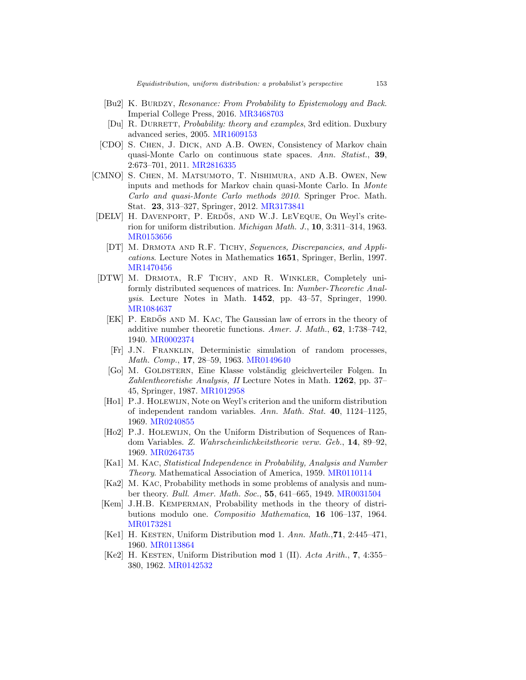- <span id="page-22-14"></span>[Bu2] K. BURDZY, Resonance: From Probability to Epistemology and Back. Imperial College Press, 2016. [MR3468703](http://www.ams.org/mathscinet-getitem?mr=3468703)
- <span id="page-22-1"></span>[Du] R. DURRETT, *Probability: theory and examples*, 3rd edition. Duxbury advanced series, 2005. [MR1609153](http://www.ams.org/mathscinet-getitem?mr=1609153)
- <span id="page-22-13"></span>[CDO] S. Chen, J. Dick, and A.B. Owen, Consistency of Markov chain quasi-Monte Carlo on continuous state spaces. Ann. Statist., **39**, 2:673–701, 2011. [MR2816335](http://www.ams.org/mathscinet-getitem?mr=2816335)
- <span id="page-22-12"></span>[CMNO] S. Chen, M. Matsumoto, T. Nishimura, and A.B. Owen, New inputs and methods for Markov chain quasi-Monte Carlo. In Monte Carlo and quasi-Monte Carlo methods 2010. Springer Proc. Math. Stat. **23**, 313–327, Springer, 2012. [MR3173841](http://www.ams.org/mathscinet-getitem?mr=3173841)
- <span id="page-22-9"></span><span id="page-22-8"></span>[DELV] H. DAVENPORT, P. ERDŐS, AND W.J. LEVEQUE, On Weyl's criterion for uniform distribution. Michigan Math. J., **10**, 3:311–314, 1963. [MR0153656](http://www.ams.org/mathscinet-getitem?mr=0153656)
	- [DT] M. Drmota and R.F. Tichy, Sequences, Discrepancies, and Applications. Lecture Notes in Mathematics **1651**, Springer, Berlin, 1997. [MR1470456](http://www.ams.org/mathscinet-getitem?mr=1470456)
- <span id="page-22-16"></span><span id="page-22-15"></span><span id="page-22-10"></span><span id="page-22-0"></span>[DTW] M. DRMOTA, R.F TICHY, AND R. WINKLER, Completely uniformly distributed sequences of matrices. In: Number-Theoretic Analysis. Lecture Notes in Math. **1452**, pp. 43–57, Springer, 1990. [MR1084637](http://www.ams.org/mathscinet-getitem?mr=1084637)
	- [EK] P. ERDOS AND M. KAC, The Gaussian law of errors in the theory of additive number theoretic functions. Amer. J. Math., **62**, 1:738–742, 1940. [MR0002374](http://www.ams.org/mathscinet-getitem?mr=0002374)
	- [Fr] J.N. Franklin, Deterministic simulation of random processes, Math. Comp., **17**, 28–59, 1963. [MR0149640](http://www.ams.org/mathscinet-getitem?mr=0149640)
	- [Go] M. Goldstern, Eine Klasse volst¨andig gleichverteiler Folgen. In Zahlentheoretishe Analysis, II Lecture Notes in Math. **1262**, pp. 37– 45, Springer, 1987. [MR1012958](http://www.ams.org/mathscinet-getitem?mr=1012958)
	- [Ho1] P.J. HOLEWIJN, Note on Weyl's criterion and the uniform distribution of independent random variables. Ann. Math. Stat. **40**, 1124–1125, 1969. [MR0240855](http://www.ams.org/mathscinet-getitem?mr=0240855)
	- [Ho2] P.J. Holewijn, On the Uniform Distribution of Sequences of Random Variables. Z. Wahrscheinlichkeitstheorie verw. Geb., **14**, 89–92, 1969. [MR0264735](http://www.ams.org/mathscinet-getitem?mr=0264735)
	- [Ka1] M. Kac, Statistical Independence in Probability, Analysis and Number Theory. Mathematical Association of America, 1959. [MR0110114](http://www.ams.org/mathscinet-getitem?mr=0110114)
	- [Ka2] M. Kac, Probability methods in some problems of analysis and number theory. Bull. Amer. Math. Soc., **55**, 641–665, 1949. [MR0031504](http://www.ams.org/mathscinet-getitem?mr=0031504)
- <span id="page-22-11"></span><span id="page-22-7"></span><span id="page-22-6"></span><span id="page-22-3"></span><span id="page-22-2"></span>[Kem] J.H.B. KEMPERMAN, Probability methods in the theory of distributions modulo one. Compositio Mathematica, **16** 106–137, 1964. [MR0173281](http://www.ams.org/mathscinet-getitem?mr=0173281)
- <span id="page-22-4"></span>[Ke1] H. Kesten, Uniform Distribution mod 1. Ann. Math.,**71**, 2:445–471, 1960. [MR0113864](http://www.ams.org/mathscinet-getitem?mr=0113864)
- <span id="page-22-5"></span>[Ke2] H. Kesten, Uniform Distribution mod 1 (II). Acta Arith., **7**, 4:355– 380, 1962. [MR0142532](http://www.ams.org/mathscinet-getitem?mr=0142532)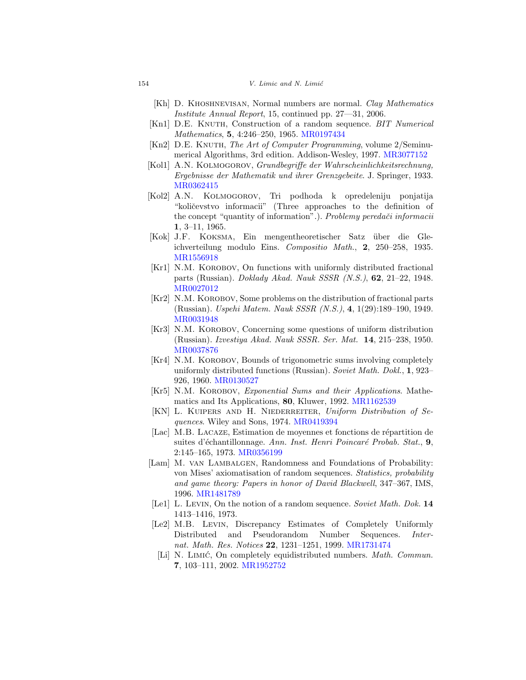- <span id="page-23-8"></span>[Kh] D. Khoshnevisan, Normal numbers are normal. Clay Mathematics Institute Annual Report, 15, continued pp. 27—31, 2006.
- <span id="page-23-0"></span>[Kn1] D.E. KNUTH, Construction of a random sequence. *BIT Numerical* Mathematics, **5**, 4:246–250, 1965. [MR0197434](http://www.ams.org/mathscinet-getitem?mr=0197434)
- <span id="page-23-1"></span> $[Kn2]$  D.E. KNUTH, The Art of Computer Programming, volume 2/Seminumerical Algorithms, 3rd edition. Addison-Wesley, 1997. [MR3077152](http://www.ams.org/mathscinet-getitem?mr=3077152)
- [Kol1] A.N. KOLMOGOROV, Grundbegriffe der Wahrscheinlichkeitsrechnung, Ergebnisse der Mathematik und ihrer Grenzgebeite. J. Springer, 1933. [MR0362415](http://www.ams.org/mathscinet-getitem?mr=0362415)
- <span id="page-23-12"></span>[Kol2] A.N. Kolmogorov, Tri podhoda k opredeleniju ponjatija "količevstvo informacii" (Three approaches to the definition of the concept "quantity of information".). Problemy peredači informacii **1**, 3–11, 1965.
- <span id="page-23-7"></span>[Kok] J.F. Koksma, Ein mengentheoretischer Satz ¨uber die Gleichverteilung modulo Eins. Compositio Math., **2**, 250–258, 1935. [MR1556918](http://www.ams.org/mathscinet-getitem?mr=1556918)
- <span id="page-23-9"></span>[Kr1] N.M. KOROBOV, On functions with uniformly distributed fractional parts (Russian). Doklady Akad. Nauk SSSR (N.S.), **62**, 21–22, 1948. [MR0027012](http://www.ams.org/mathscinet-getitem?mr=0027012)
- <span id="page-23-10"></span>[Kr2] N.M. KOROBOV, Some problems on the distribution of fractional parts (Russian). Uspehi Matem. Nauk SSSR (N.S.), **4**, 1(29):189–190, 1949. [MR0031948](http://www.ams.org/mathscinet-getitem?mr=0031948)
- <span id="page-23-15"></span>[Kr3] N.M. KOROBOV, Concerning some questions of uniform distribution (Russian). Izvestiya Akad. Nauk SSSR. Ser. Mat. **14**, 215–238, 1950. [MR0037876](http://www.ams.org/mathscinet-getitem?mr=0037876)
- <span id="page-23-14"></span>[Kr4] N.M. KOROBOV, Bounds of trigonometric sums involving completely uniformly distributed functions (Russian). Soviet Math. Dokl., **1**, 923– 926, 1960. [MR0130527](http://www.ams.org/mathscinet-getitem?mr=0130527)
- <span id="page-23-2"></span>[Kr5] N.M. KOROBOV, Exponential Sums and their Applications. Mathematics and Its Applications, **80**, Kluwer, 1992. [MR1162539](http://www.ams.org/mathscinet-getitem?mr=1162539)
- <span id="page-23-3"></span>[KN] L. KUIPERS AND H. NIEDERREITER, Uniform Distribution of Sequences. Wiley and Sons, 1974. [MR0419394](http://www.ams.org/mathscinet-getitem?mr=0419394)
- <span id="page-23-4"></span>[Lac] M.B. LACAZE, Estimation de moyennes et fonctions de répartition de suites d'échantillonnage. Ann. Inst. Henri Poincaré Probab. Stat., **9**, 2:145–165, 1973. [MR0356199](http://www.ams.org/mathscinet-getitem?mr=0356199)
- <span id="page-23-11"></span>[Lam] M. VAN LAMBALGEN, Randomness and Foundations of Probability: von Mises' axiomatisation of random sequences. Statistics, probability and game theory: Papers in honor of David Blackwell, 347–367, IMS, 1996. [MR1481789](http://www.ams.org/mathscinet-getitem?mr=1481789)
- <span id="page-23-13"></span>[Le1] L. Levin, On the notion of a random sequence. Soviet Math. Dok. **14** 1413–1416, 1973.
- <span id="page-23-6"></span><span id="page-23-5"></span>[Le2] M.B. Levin, Discrepancy Estimates of Completely Uniformly Distributed and Pseudorandom Number Sequences. Internat. Math. Res. Notices **22**, 1231–1251, 1999. [MR1731474](http://www.ams.org/mathscinet-getitem?mr=1731474)
	- [Li] N. LIMIC, On completely equidistributed numbers. Math. Commun. **7**, 103–111, 2002. [MR1952752](http://www.ams.org/mathscinet-getitem?mr=1952752)

 $154$  V. Limic and N. Limic